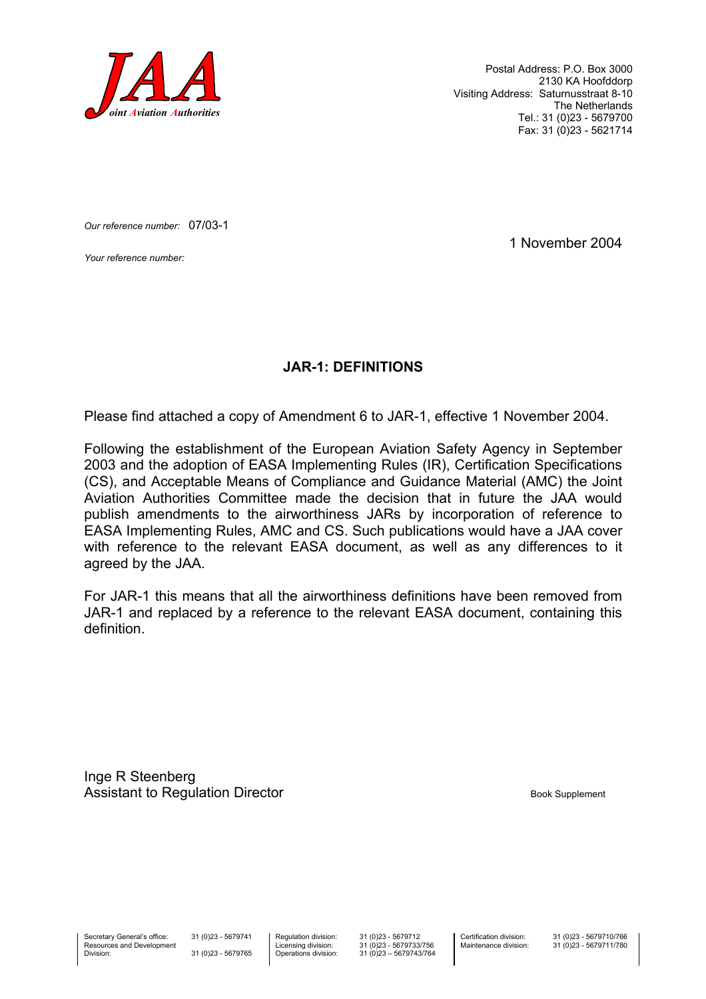

Postal Address: P.O. Box 3000 2130 KA Hoofddorp Visiting Address: Saturnusstraat 8-10 The Netherlands Tel.: 31 (0)23 - 5679700 Fax: 31 (0)23 - 5621714

*Our reference number:* 07/03-1

*Your reference number:* 1 November 2004

#### **JAR-1: DEFINITIONS**

Please find attached a copy of Amendment 6 to JAR-1, effective 1 November 2004.

Following the establishment of the European Aviation Safety Agency in September 2003 and the adoption of EASA Implementing Rules (IR), Certification Specifications (CS), and Acceptable Means of Compliance and Guidance Material (AMC) the Joint Aviation Authorities Committee made the decision that in future the JAA would publish amendments to the airworthiness JARs by incorporation of reference to EASA Implementing Rules, AMC and CS. Such publications would have a JAA cover with reference to the relevant EASA document, as well as any differences to it agreed by the JAA.

For JAR-1 this means that all the airworthiness definitions have been removed from JAR-1 and replaced by a reference to the relevant EASA document, containing this definition.

Inge R Steenberg Assistant to Regulation Director **Book Supplement** Book Supplement

Secretary General's office: Resources and Development Division:

31 (0)23 - 5679741 31 (0)23 - 5679765 Regulation division: Licensing division: Operations division: 31 (0)23 - 5679712  $31 (0)23 - 5679733/756$ 31 (0)23 – 5679743/764 Certification division: Maintenance division: 31 (0)23 - 5679710/766 31 (0)23 - 5679711/780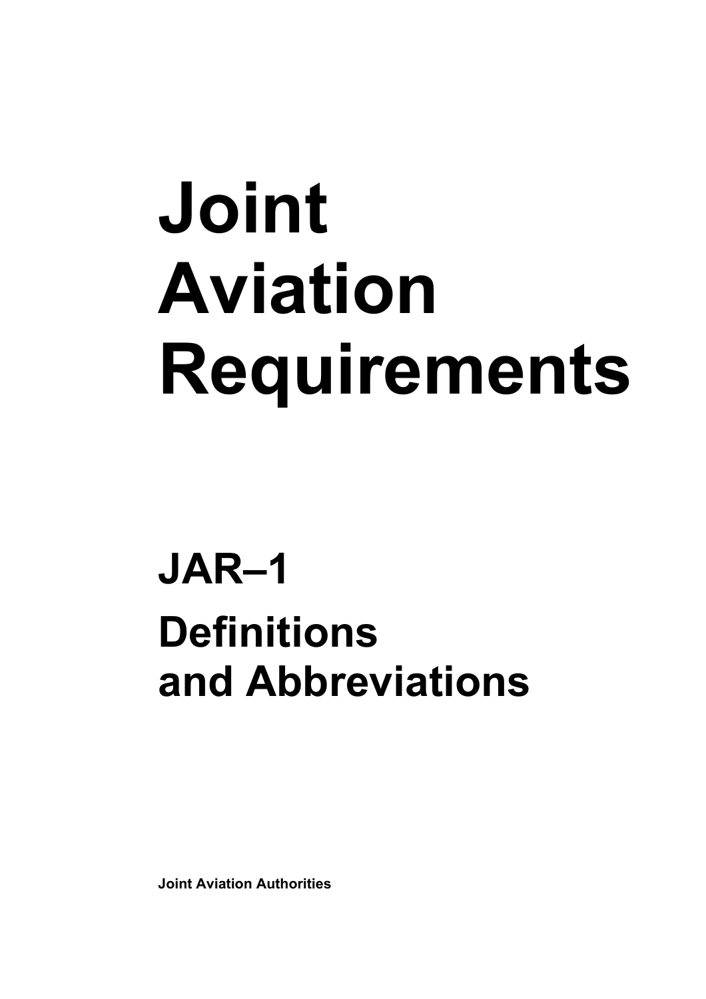# **Joint Aviation Requirements**

## **JAR–1 Definitions and Abbreviations**

**Joint Aviation Authorities**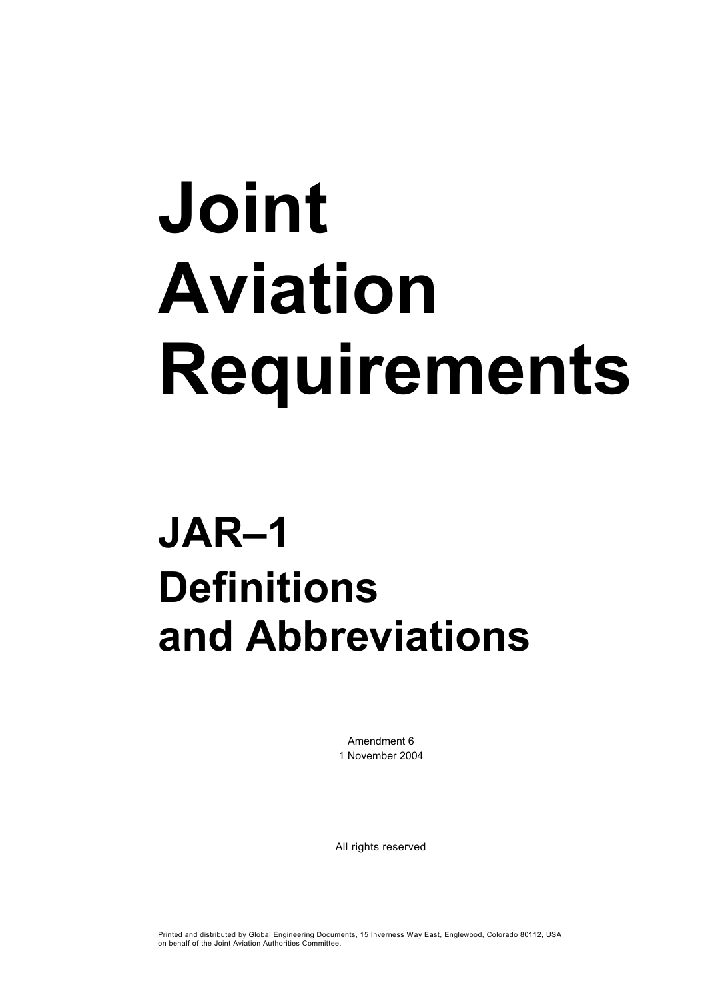# **Joint Aviation Requirements**

## **JAR–1 Definitions and Abbreviations**

Amendment 6 1 November 2004

All rights reserved

Printed and distributed by Global Engineering Documents, 15 Inverness Way East, Englewood, Colorado 80112, USA on behalf of the Joint Aviation Authorities Committee.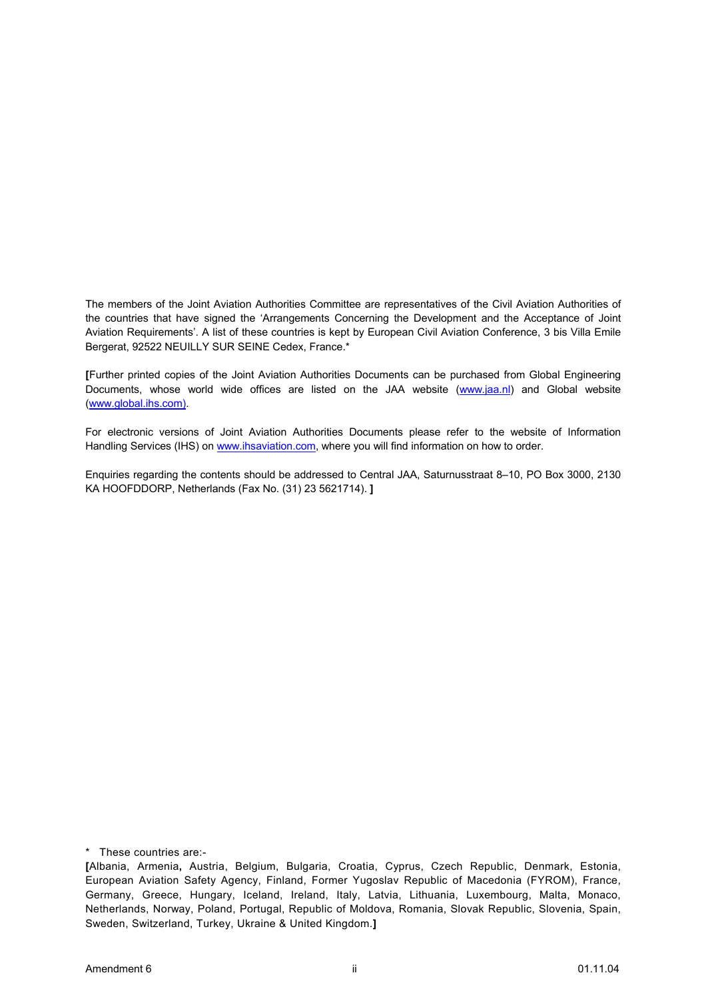The members of the Joint Aviation Authorities Committee are representatives of the Civil Aviation Authorities of the countries that have signed the 'Arrangements Concerning the Development and the Acceptance of Joint Aviation Requirements'. A list of these countries is kept by European Civil Aviation Conference, 3 bis Villa Emile Bergerat, 92522 NEUILLY SUR SEINE Cedex, France.\*

**[**Further printed copies of the Joint Aviation Authorities Documents can be purchased from Global Engineering Documents, whose world wide offices are listed on the JAA website (www.jaa.nl) and Global website (www.global.ihs.com).

For electronic versions of Joint Aviation Authorities Documents please refer to the website of Information Handling Services (IHS) on www.ihsaviation.com, where you will find information on how to order.

Enquiries regarding the contents should be addressed to Central JAA, Saturnusstraat 8–10, PO Box 3000, 2130 KA HOOFDDORP, Netherlands (Fax No. (31) 23 5621714). **]**

\* These countries are:-

**<sup>[</sup>**Albania, Armenia**,** Austria, Belgium, Bulgaria, Croatia, Cyprus, Czech Republic, Denmark, Estonia, European Aviation Safety Agency, Finland, Former Yugoslav Republic of Macedonia (FYROM), France, Germany, Greece, Hungary, Iceland, Ireland, Italy, Latvia, Lithuania, Luxembourg, Malta, Monaco, Netherlands, Norway, Poland, Portugal, Republic of Moldova, Romania, Slovak Republic, Slovenia, Spain, Sweden, Switzerland, Turkey, Ukraine & United Kingdom.**]**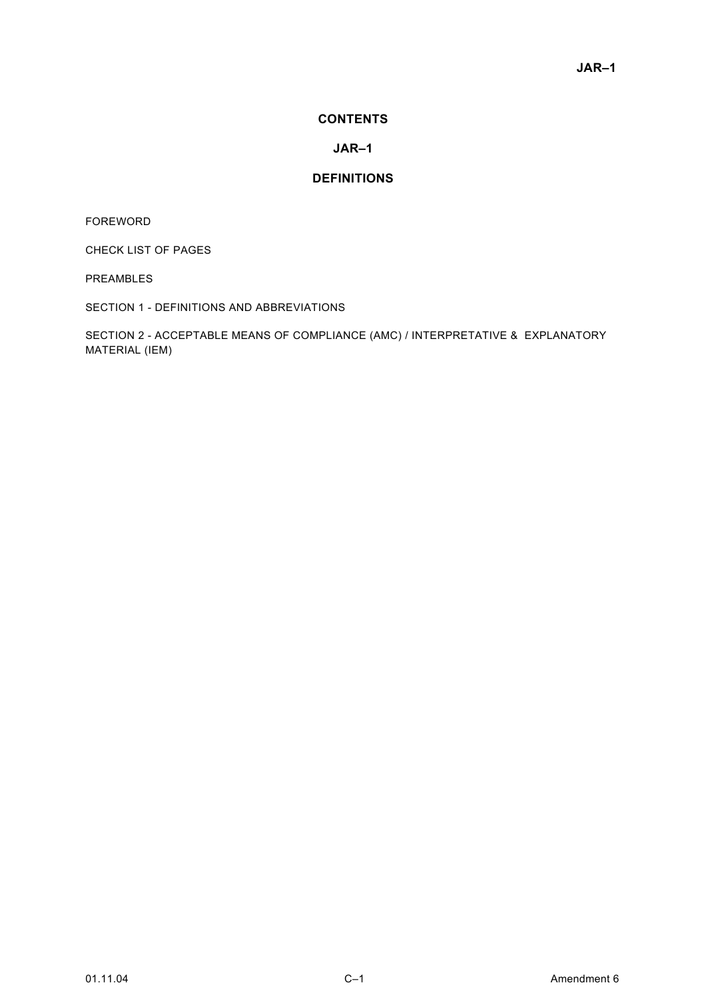#### **CONTENTS**

#### **JAR–1**

#### **DEFINITIONS**

FOREWORD

CHECK LIST OF PAGES

PREAMBLES

SECTION 1 - DEFINITIONS AND ABBREVIATIONS

SECTION 2 - ACCEPTABLE MEANS OF COMPLIANCE (AMC) / INTERPRETATIVE & EXPLANATORY MATERIAL (IEM)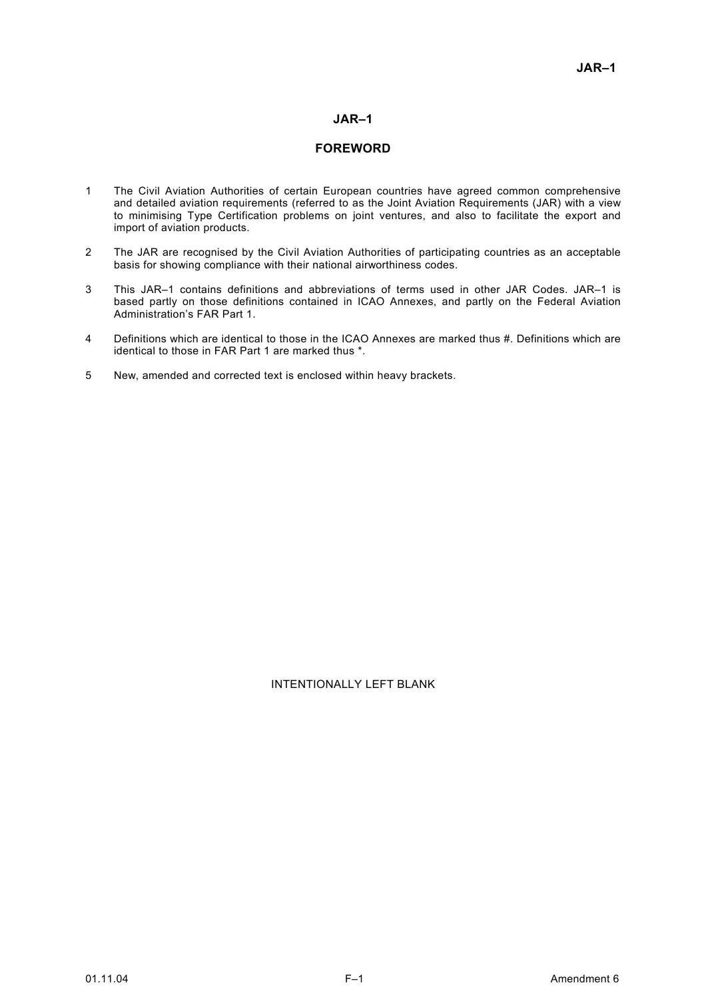#### **JAR–1**

#### **FOREWORD**

- 1 The Civil Aviation Authorities of certain European countries have agreed common comprehensive and detailed aviation requirements (referred to as the Joint Aviation Requirements (JAR) with a view to minimising Type Certification problems on joint ventures, and also to facilitate the export and import of aviation products.
- 2 The JAR are recognised by the Civil Aviation Authorities of participating countries as an acceptable basis for showing compliance with their national airworthiness codes.
- 3 This JAR–1 contains definitions and abbreviations of terms used in other JAR Codes. JAR–1 is based partly on those definitions contained in ICAO Annexes, and partly on the Federal Aviation Administration's FAR Part 1.
- 4 Definitions which are identical to those in the ICAO Annexes are marked thus #. Definitions which are identical to those in FAR Part 1 are marked thus \*.
- 5 New, amended and corrected text is enclosed within heavy brackets.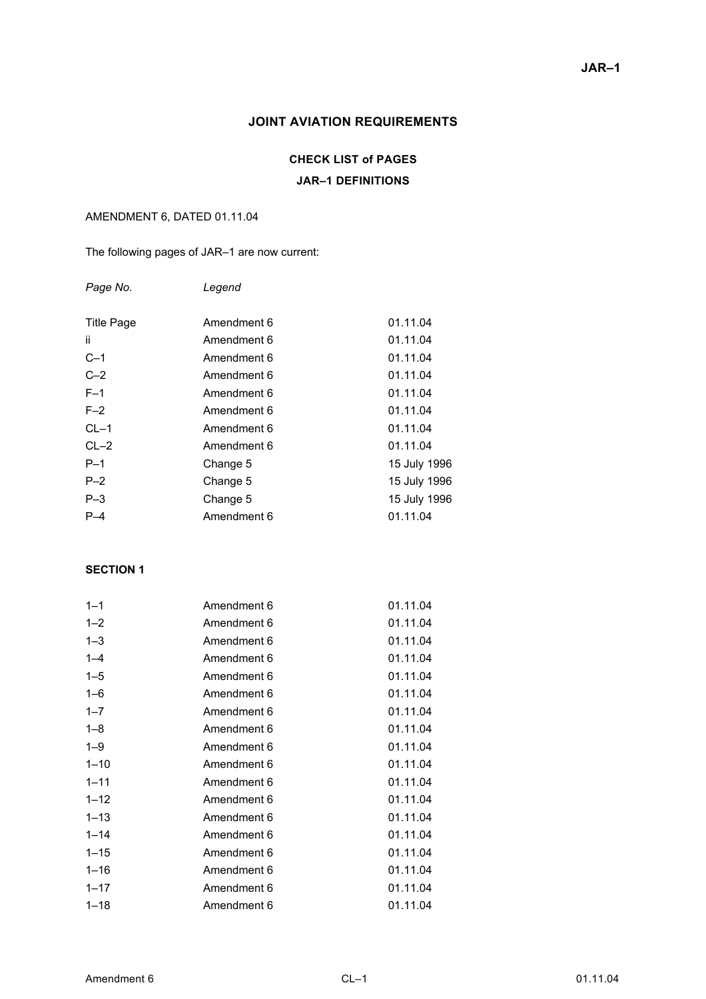#### **JOINT AVIATION REQUIREMENTS**

#### **CHECK LIST of PAGES**

#### **JAR–1 DEFINITIONS**

#### AMENDMENT 6, DATED 01.11.04

The following pages of JAR–1 are now current:

| Page No.          | Legend      |              |
|-------------------|-------------|--------------|
| <b>Title Page</b> | Amendment 6 | 01.11.04     |
| ii.               | Amendment 6 | 01.11.04     |
| $C-1$             | Amendment 6 | 01.11.04     |
| $C-2$             | Amendment 6 | 01.11.04     |
| $F-1$             | Amendment 6 | 01.11.04     |
| $F-2$             | Amendment 6 | 01.11.04     |
| $CL-1$            | Amendment 6 | 01.11.04     |
| $CL-2$            | Amendment 6 | 01.11.04     |
| $P-1$             | Change 5    | 15 July 1996 |
| $P - 2$           | Change 5    | 15 July 1996 |
| $P-3$             | Change 5    | 15 July 1996 |
| $P-4$             | Amendment 6 | 01.11.04     |

#### **SECTION 1**

| $1 - 1$  | Amendment 6 | 01.11.04 |
|----------|-------------|----------|
| $1 - 2$  | Amendment 6 | 01.11.04 |
| $1 - 3$  | Amendment 6 | 01.11.04 |
| $1 - 4$  | Amendment 6 | 01.11.04 |
| $1 - 5$  | Amendment 6 | 01.11.04 |
| $1 - 6$  | Amendment 6 | 01.11.04 |
| $1 - 7$  | Amendment 6 | 01.11.04 |
| $1 - 8$  | Amendment 6 | 01.11.04 |
| $1 - 9$  | Amendment 6 | 01.11.04 |
| $1 - 10$ | Amendment 6 | 01.11.04 |
| $1 - 11$ | Amendment 6 | 01.11.04 |
| $1 - 12$ | Amendment 6 | 01.11.04 |
| $1 - 13$ | Amendment 6 | 01.11.04 |
| $1 - 14$ | Amendment 6 | 01.11.04 |
| $1 - 15$ | Amendment 6 | 01.11.04 |
| $1 - 16$ | Amendment 6 | 01.11.04 |
| $1 - 17$ | Amendment 6 | 01.11.04 |
| $1 - 18$ | Amendment 6 | 01.11.04 |
|          |             |          |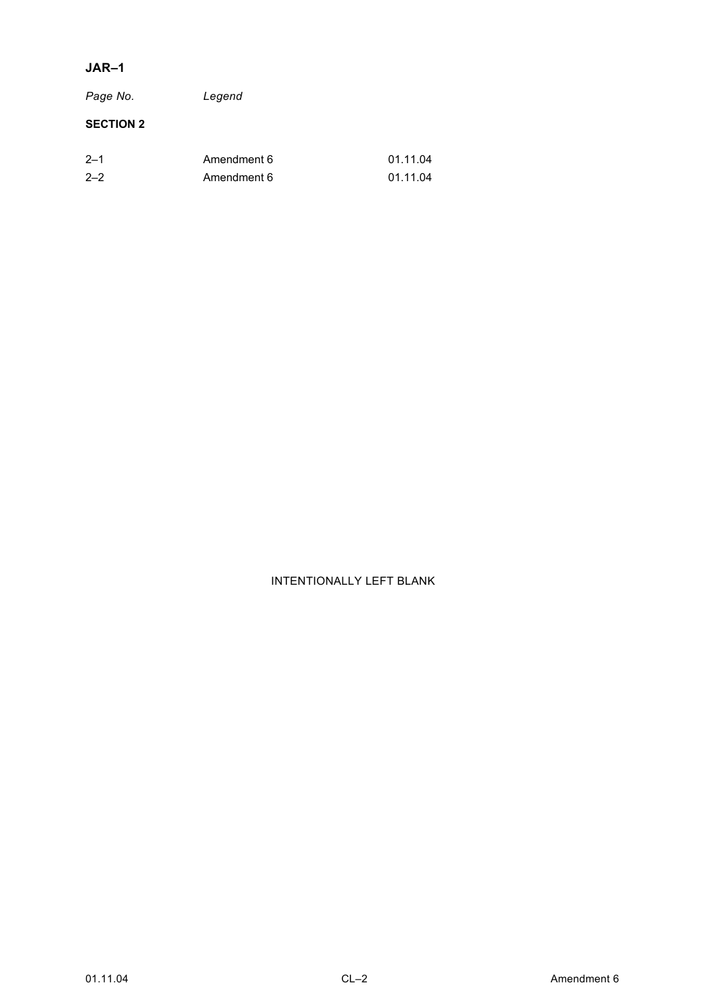#### **JAR–1**

*Page No. Legend* 

#### **SECTION 2**

| $2 - 1$ | Amendment 6 | 01.11.04 |
|---------|-------------|----------|
| $2 - 2$ | Amendment 6 | 01.11.04 |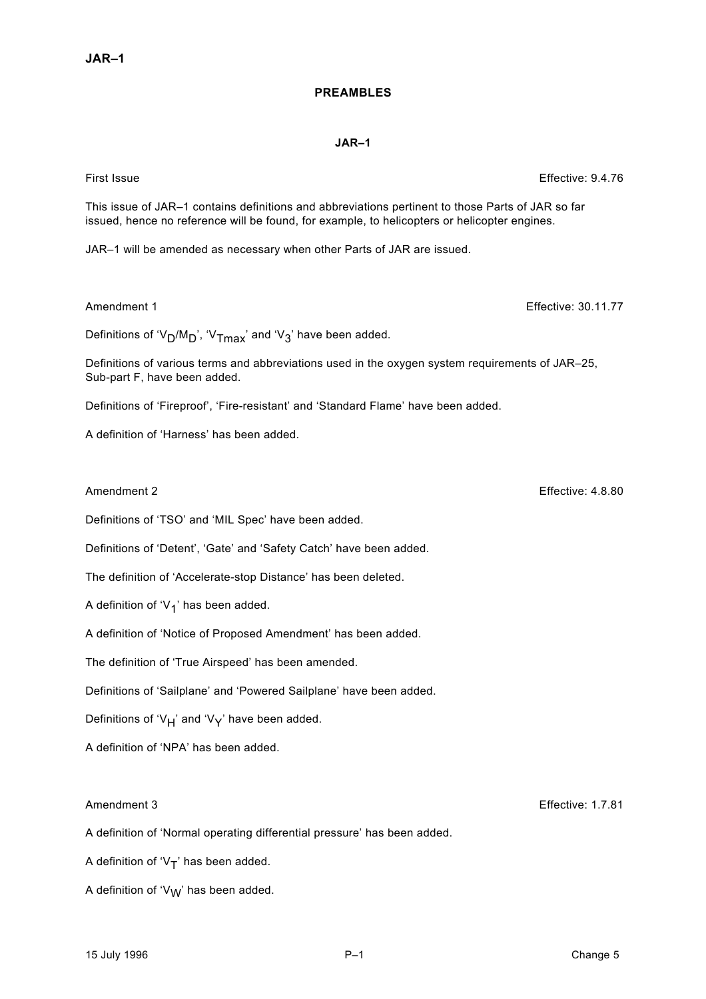#### **PREAMBLES**

#### **JAR–1**

This issue of JAR–1 contains definitions and abbreviations pertinent to those Parts of JAR so far issued, hence no reference will be found, for example, to helicopters or helicopter engines.

JAR–1 will be amended as necessary when other Parts of JAR are issued.

#### Amendment 1 **Effective: 30.11.77**

Definitions of ' $V_D/M_D$ ', ' $V_{Tmax}$ ' and ' $V_3$ ' have been added.

Definitions of various terms and abbreviations used in the oxygen system requirements of JAR–25, Sub-part F, have been added.

Definitions of 'Fireproof', 'Fire-resistant' and 'Standard Flame' have been added.

A definition of 'Harness' has been added.

#### Amendment 2 **Effective: 4.8.80**

Definitions of 'TSO' and 'MIL Spec' have been added.

Definitions of 'Detent', 'Gate' and 'Safety Catch' have been added.

The definition of 'Accelerate-stop Distance' has been deleted.

A definition of ' $V_1$ ' has been added.

A definition of 'Notice of Proposed Amendment' has been added.

The definition of 'True Airspeed' has been amended.

Definitions of 'Sailplane' and 'Powered Sailplane' have been added.

Definitions of 'V<sub>H</sub>' and 'V<sub>Y</sub>' have been added.

A definition of 'NPA' has been added.

A definition of 'Normal operating differential pressure' has been added.

A definition of ' $V_T$ ' has been added.

A definition of ' $V_W$ ' has been added.

Amendment 3 Effective: 1.7.81

First Issue Effective: 9.4.76

15 July 1996 P–1 Change 5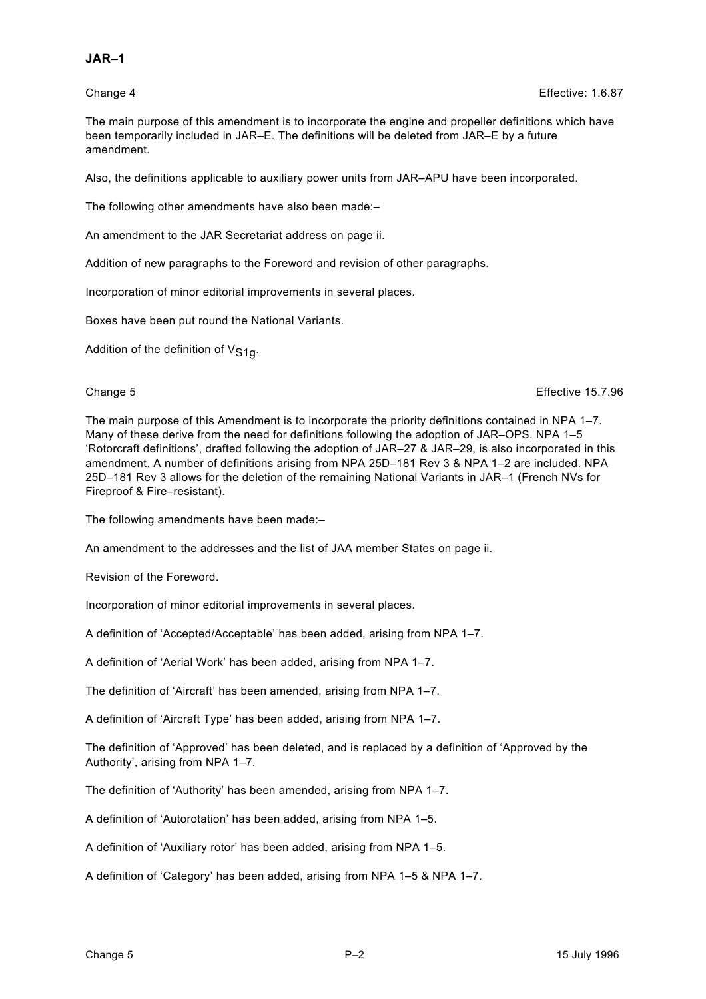#### **JAR–1**

The main purpose of this amendment is to incorporate the engine and propeller definitions which have been temporarily included in JAR–E. The definitions will be deleted from JAR–E by a future amendment.

Also, the definitions applicable to auxiliary power units from JAR–APU have been incorporated.

The following other amendments have also been made:–

An amendment to the JAR Secretariat address on page ii.

Addition of new paragraphs to the Foreword and revision of other paragraphs.

Incorporation of minor editorial improvements in several places.

Boxes have been put round the National Variants.

Addition of the definition of  $V_{S10}$ .

Change 5 Effective 15.7.96

The main purpose of this Amendment is to incorporate the priority definitions contained in NPA 1–7. Many of these derive from the need for definitions following the adoption of JAR–OPS. NPA 1–5 'Rotorcraft definitions', drafted following the adoption of JAR–27 & JAR–29, is also incorporated in this amendment. A number of definitions arising from NPA 25D–181 Rev 3 & NPA 1–2 are included. NPA 25D–181 Rev 3 allows for the deletion of the remaining National Variants in JAR–1 (French NVs for Fireproof & Fire–resistant).

The following amendments have been made:–

An amendment to the addresses and the list of JAA member States on page ii.

Revision of the Foreword.

Incorporation of minor editorial improvements in several places.

A definition of 'Accepted/Acceptable' has been added, arising from NPA 1–7.

A definition of 'Aerial Work' has been added, arising from NPA 1–7.

The definition of 'Aircraft' has been amended, arising from NPA 1–7.

A definition of 'Aircraft Type' has been added, arising from NPA 1–7.

The definition of 'Approved' has been deleted, and is replaced by a definition of 'Approved by the Authority', arising from NPA 1–7.

The definition of 'Authority' has been amended, arising from NPA 1–7.

A definition of 'Autorotation' has been added, arising from NPA 1–5.

A definition of 'Auxiliary rotor' has been added, arising from NPA 1–5.

A definition of 'Category' has been added, arising from NPA 1–5 & NPA 1–7.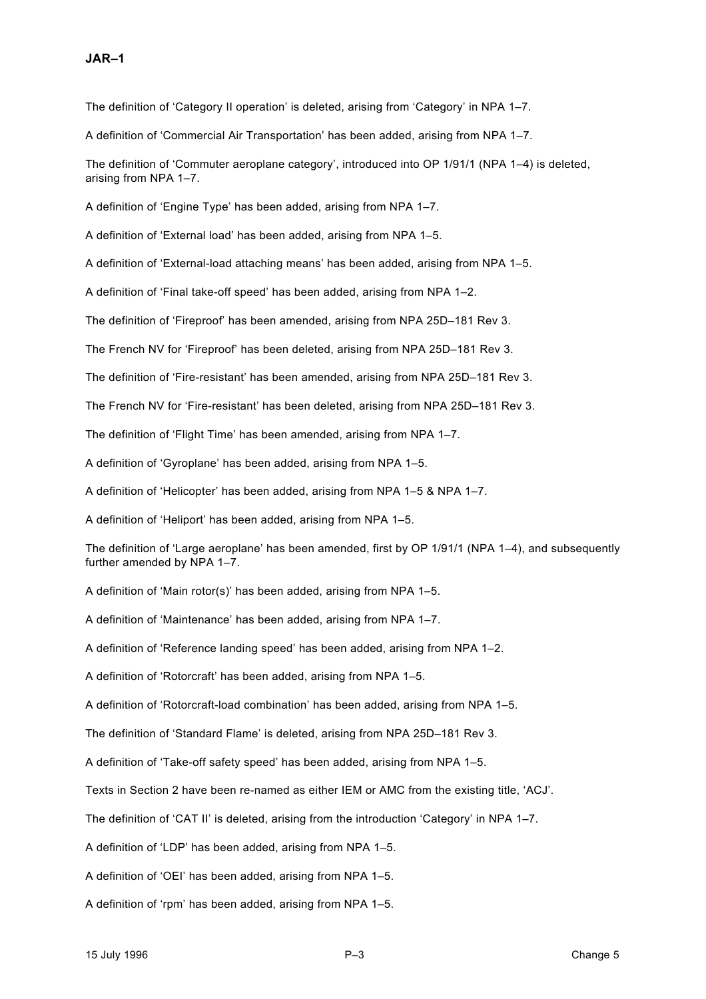The definition of 'Category II operation' is deleted, arising from 'Category' in NPA 1-7.

A definition of 'Commercial Air Transportation' has been added, arising from NPA 1–7.

The definition of 'Commuter aeroplane category', introduced into OP 1/91/1 (NPA 1–4) is deleted, arising from NPA 1–7.

A definition of 'Engine Type' has been added, arising from NPA 1–7.

A definition of 'External load' has been added, arising from NPA 1–5.

A definition of 'External-load attaching means' has been added, arising from NPA 1–5.

A definition of 'Final take-off speed' has been added, arising from NPA 1–2.

The definition of 'Fireproof' has been amended, arising from NPA 25D–181 Rev 3.

The French NV for 'Fireproof' has been deleted, arising from NPA 25D–181 Rev 3.

The definition of 'Fire-resistant' has been amended, arising from NPA 25D–181 Rev 3.

The French NV for 'Fire-resistant' has been deleted, arising from NPA 25D–181 Rev 3.

The definition of 'Flight Time' has been amended, arising from NPA 1–7.

A definition of 'Gyroplane' has been added, arising from NPA 1–5.

A definition of 'Helicopter' has been added, arising from NPA 1–5 & NPA 1–7.

A definition of 'Heliport' has been added, arising from NPA 1–5.

The definition of 'Large aeroplane' has been amended, first by OP 1/91/1 (NPA 1–4), and subsequently further amended by NPA 1–7.

A definition of 'Main rotor(s)' has been added, arising from NPA 1–5.

A definition of 'Maintenance' has been added, arising from NPA 1–7.

A definition of 'Reference landing speed' has been added, arising from NPA 1–2.

A definition of 'Rotorcraft' has been added, arising from NPA 1–5.

A definition of 'Rotorcraft-load combination' has been added, arising from NPA 1–5.

The definition of 'Standard Flame' is deleted, arising from NPA 25D–181 Rev 3.

A definition of 'Take-off safety speed' has been added, arising from NPA 1–5.

Texts in Section 2 have been re-named as either IEM or AMC from the existing title, 'ACJ'.

The definition of 'CAT II' is deleted, arising from the introduction 'Category' in NPA 1–7.

A definition of 'LDP' has been added, arising from NPA 1–5.

A definition of 'OEI' has been added, arising from NPA 1–5.

A definition of 'rpm' has been added, arising from NPA 1–5.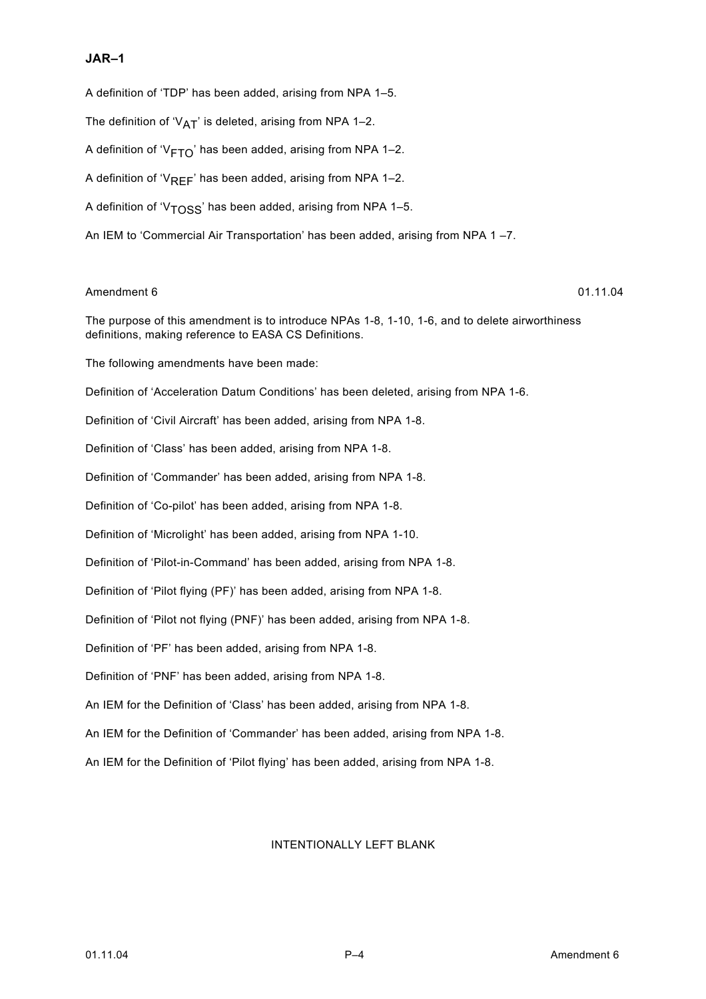#### **JAR–1**

A definition of 'TDP' has been added, arising from NPA 1–5. The definition of ' $V_{AT}$ ' is deleted, arising from NPA 1-2. A definition of ' $V_{\text{FTO}}$ ' has been added, arising from NPA 1–2. A definition of ' $V_{RFF}$ ' has been added, arising from NPA 1–2. A definition of ' $V<sub>TOS</sub>$ ' has been added, arising from NPA 1-5. An IEM to 'Commercial Air Transportation' has been added, arising from NPA 1 –7.

#### Amendment 6 01.11.04

The purpose of this amendment is to introduce NPAs 1-8, 1-10, 1-6, and to delete airworthiness definitions, making reference to EASA CS Definitions.

The following amendments have been made:

Definition of 'Acceleration Datum Conditions' has been deleted, arising from NPA 1-6.

Definition of 'Civil Aircraft' has been added, arising from NPA 1-8.

Definition of 'Class' has been added, arising from NPA 1-8.

Definition of 'Commander' has been added, arising from NPA 1-8.

Definition of 'Co-pilot' has been added, arising from NPA 1-8.

Definition of 'Microlight' has been added, arising from NPA 1-10.

Definition of 'Pilot-in-Command' has been added, arising from NPA 1-8.

Definition of 'Pilot flying (PF)' has been added, arising from NPA 1-8.

Definition of 'Pilot not flying (PNF)' has been added, arising from NPA 1-8.

Definition of 'PF' has been added, arising from NPA 1-8.

Definition of 'PNF' has been added, arising from NPA 1-8.

An IEM for the Definition of 'Class' has been added, arising from NPA 1-8.

An IEM for the Definition of 'Commander' has been added, arising from NPA 1-8.

An IEM for the Definition of 'Pilot flying' has been added, arising from NPA 1-8.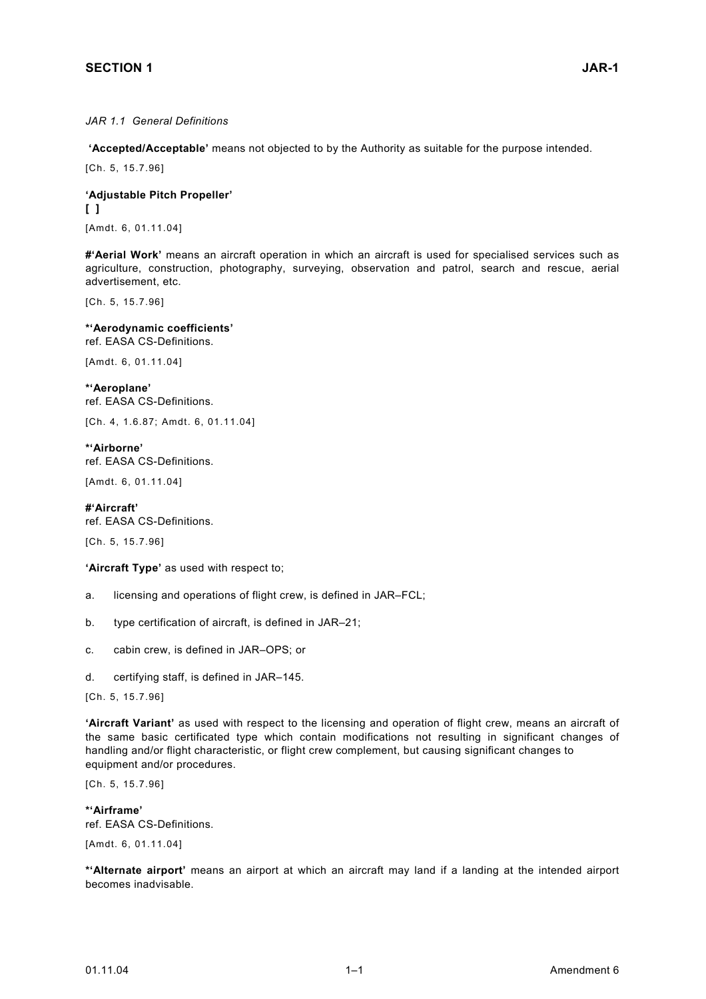#### *JAR 1.1 General Definitions*

 **'Accepted/Acceptable'** means not objected to by the Authority as suitable for the purpose intended.

[Ch. 5, 15.7.96]

**'Adjustable Pitch Propeller' [ ]**  [Amdt. 6, 01.11.04]

**#'Aerial Work'** means an aircraft operation in which an aircraft is used for specialised services such as agriculture, construction, photography, surveying, observation and patrol, search and rescue, aerial advertisement, etc.

[Ch. 5, 15.7.96]

**\*'Aerodynamic coefficients'**  ref. EASA CS-Definitions.

[Amdt. 6, 01.11.04]

**\*'Aeroplane'**  ref. EASA CS-Definitions.

[Ch. 4, 1.6.87; Amdt. 6, 01.11.04]

**\*'Airborne'**  ref. EASA CS-Definitions.

[Amdt. 6, 01.11.04]

**#'Aircraft'** ref. EASA CS-Definitions.

[Ch. 5, 15.7.96]

**'Aircraft Type'** as used with respect to;

- a. licensing and operations of flight crew, is defined in JAR–FCL;
- b. type certification of aircraft, is defined in JAR–21;
- c. cabin crew, is defined in JAR–OPS; or
- d. certifying staff, is defined in JAR–145.

[Ch. 5, 15.7.96]

**'Aircraft Variant'** as used with respect to the licensing and operation of flight crew, means an aircraft of the same basic certificated type which contain modifications not resulting in significant changes of handling and/or flight characteristic, or flight crew complement, but causing significant changes to equipment and/or procedures.

[Ch. 5, 15.7.96]

**\*'Airframe'**  ref. EASA CS-Definitions.

[Amdt. 6, 01.11.04]

**\*'Alternate airport'** means an airport at which an aircraft may land if a landing at the intended airport becomes inadvisable.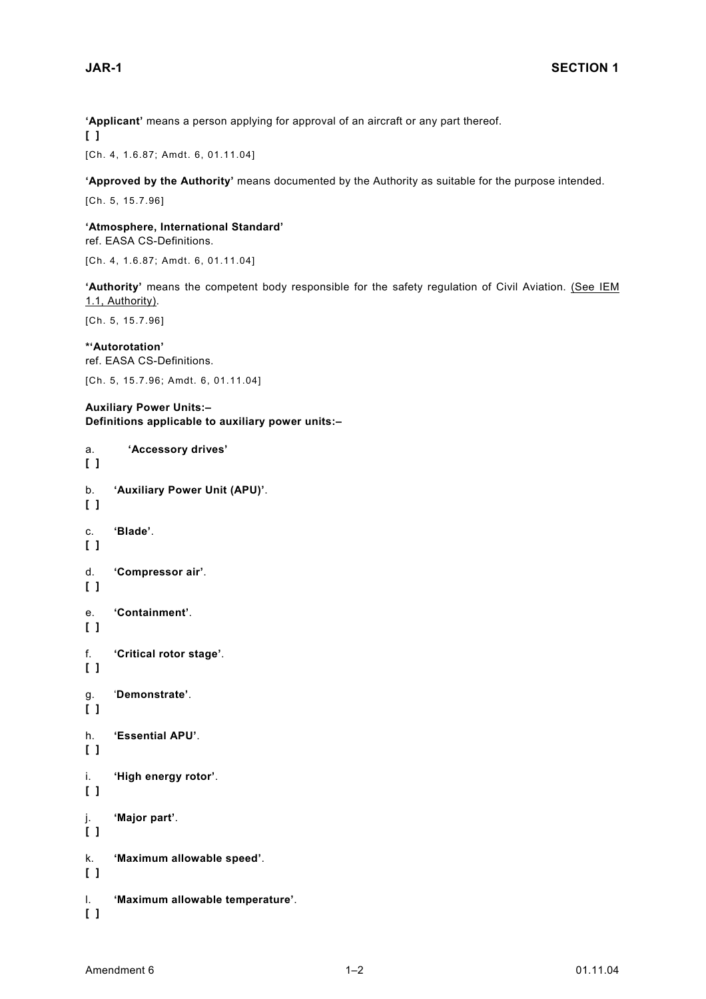**'Applicant'** means a person applying for approval of an aircraft or any part thereof. **[ ]** 

[Ch. 4, 1.6.87; Amdt. 6, 01.11.04]

**'Approved by the Authority'** means documented by the Authority as suitable for the purpose intended.

[Ch. 5, 15.7.96]

**'Atmosphere, International Standard'**  ref. EASA CS-Definitions.

[Ch. 4, 1.6.87; Amdt. 6, 01.11.04]

**'Authority'** means the competent body responsible for the safety regulation of Civil Aviation. (See IEM 1.1, Authority).

[Ch. 5, 15.7.96]

**\*'Autorotation'**  ref. EASA CS-Definitions.

[Ch. 5, 15.7.96; Amdt. 6, 01.11.04]

**Auxiliary Power Units:– Definitions applicable to auxiliary power units:–** 

```
a. 'Accessory drives' 
[ ] 
b. 'Auxiliary Power Unit (APU)'. 
[ ] 
c. 'Blade'. 
[ ] 
d. 'Compressor air'. 
[ ] 
e. 'Containment'. 
[ ] 
f. 'Critical rotor stage'. 
[ ] 
g. 'Demonstrate'. 
[ ] 
h. 'Essential APU'. 
[ ] 
i. 'High energy rotor'. 
[ ] 
j. 'Major part'. 
[ ] 
k. 'Maximum allowable speed'. 
[ ] 
l. 'Maximum allowable temperature'. 
[ ]
```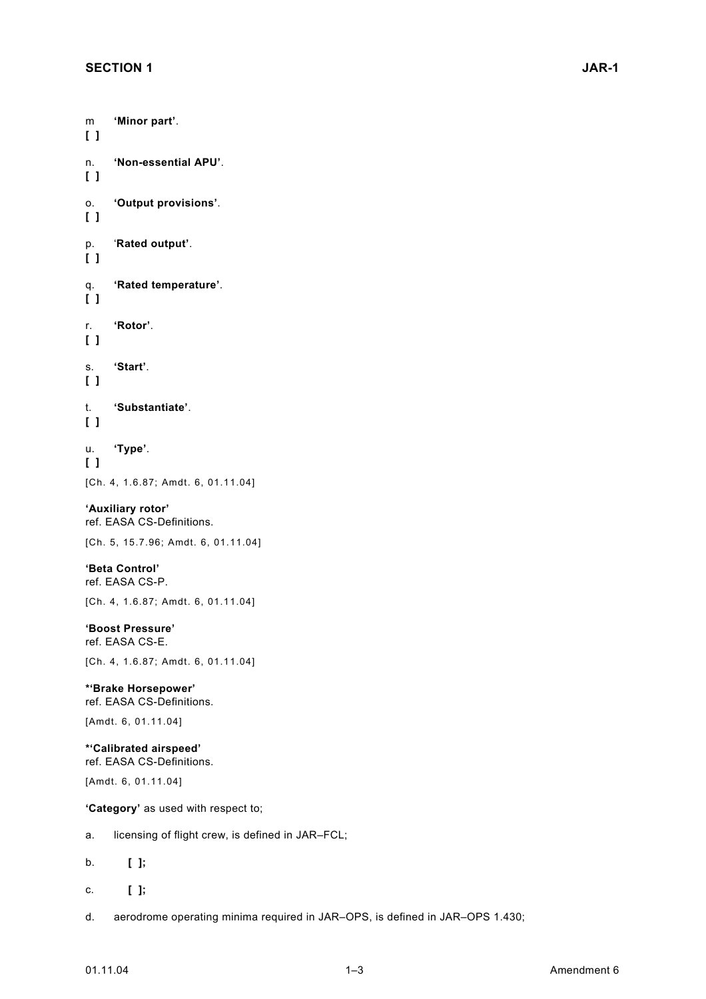**[ ]** 

**[ ]** 

**[ ]** 

**[ ]** 

**[ ]** 

**[ ]** 

**[ ]** 

**[ ]** 

**[ ]** 

m **'Minor part'**. n. **'Non-essential APU'**. o. **'Output provisions'**. p. '**Rated output'**. q. **'Rated temperature'**. r. **'Rotor'**. s. **'Start'**. t. **'Substantiate'**. u. **'Type'**. [Ch. 4, 1.6.87; Amdt. 6, 01.11.04] **'Auxiliary rotor'** ref. EASA CS-Definitions. [Ch. 5, 15.7.96; Amdt. 6, 01.11.04] **'Beta Control'**  ref. EASA CS-P. [Ch. 4, 1.6.87; Amdt. 6, 01.11.04] **'Boost Pressure'**  ref. EASA CS-E. [Ch. 4, 1.6.87; Amdt. 6, 01.11.04] **\*'Brake Horsepower'** ref. EASA CS-Definitions. [Amdt. 6, 01.11.04] **\*'Calibrated airspeed'** ref. EASA CS-Definitions. [Amdt. 6, 01.11.04] **'Category'** as used with respect to; a. licensing of flight crew, is defined in JAR–FCL; b. **[ ];**  c. **[ ];** 

d. aerodrome operating minima required in JAR–OPS, is defined in JAR–OPS 1.430;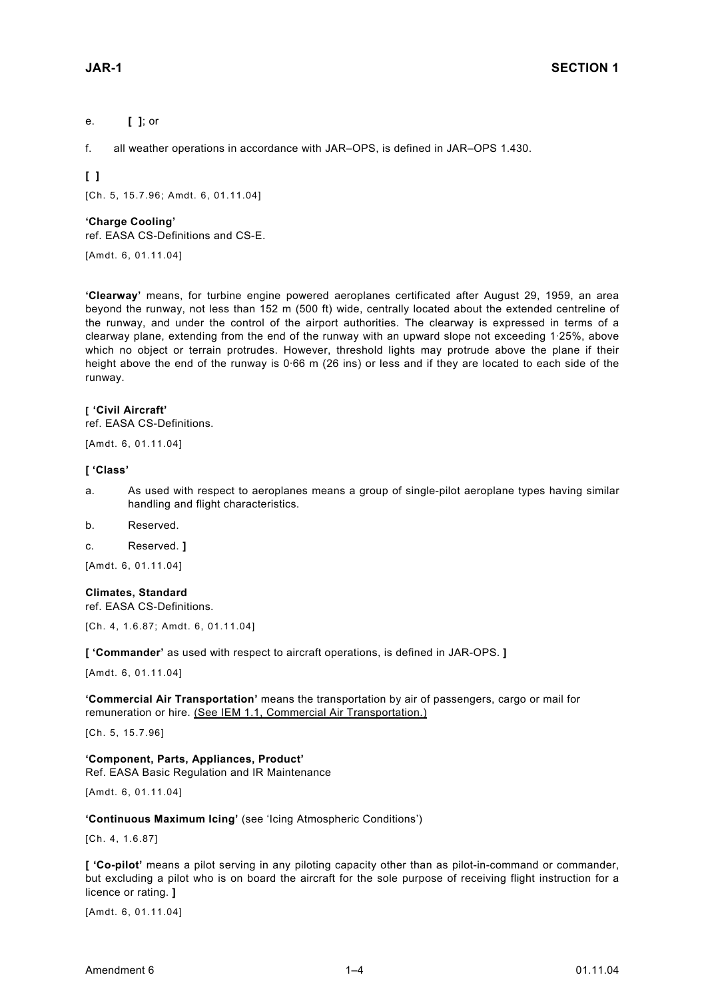#### e. **[ ]**; or

f. all weather operations in accordance with JAR–OPS, is defined in JAR–OPS 1.430.

**[ ]** 

[Ch. 5, 15.7.96; Amdt. 6, 01.11.04]

#### **'Charge Cooling'**

ref. EASA CS-Definitions and CS-E.

[Amdt. 6, 01.11.04]

**'Clearway'** means, for turbine engine powered aeroplanes certificated after August 29, 1959, an area beyond the runway, not less than 152 m (500 ft) wide, centrally located about the extended centreline of the runway, and under the control of the airport authorities. The clearway is expressed in terms of a clearway plane, extending from the end of the runway with an upward slope not exceeding 1·25%, above which no object or terrain protrudes. However, threshold lights may protrude above the plane if their height above the end of the runway is 0·66 m (26 ins) or less and if they are located to each side of the runway.

#### **[ 'Civil Aircraft'**

ref. EASA CS-Definitions.

[Amdt. 6, 01.11.04]

#### **[ 'Class'**

- a. As used with respect to aeroplanes means a group of single-pilot aeroplane types having similar handling and flight characteristics.
- b. Reserved.
- c. Reserved. **]**

[Amdt. 6, 01.11.04]

#### **Climates, Standard**

ref. EASA CS-Definitions.

[Ch. 4, 1.6.87; Amdt. 6, 01.11.04]

**[ 'Commander'** as used with respect to aircraft operations, is defined in JAR-OPS. **]**

[Amdt. 6, 01.11.04]

**'Commercial Air Transportation'** means the transportation by air of passengers, cargo or mail for remuneration or hire. (See IEM 1.1, Commercial Air Transportation.)

[Ch. 5, 15.7.96]

**'Component, Parts, Appliances, Product'** Ref. EASA Basic Regulation and IR Maintenance

[Amdt. 6, 01.11.04]

**'Continuous Maximum Icing'** (see 'Icing Atmospheric Conditions')

[Ch. 4, 1.6.87]

**[ 'Co-pilot'** means a pilot serving in any piloting capacity other than as pilot-in-command or commander, but excluding a pilot who is on board the aircraft for the sole purpose of receiving flight instruction for a licence or rating. **]** 

[Amdt. 6, 01.11.04]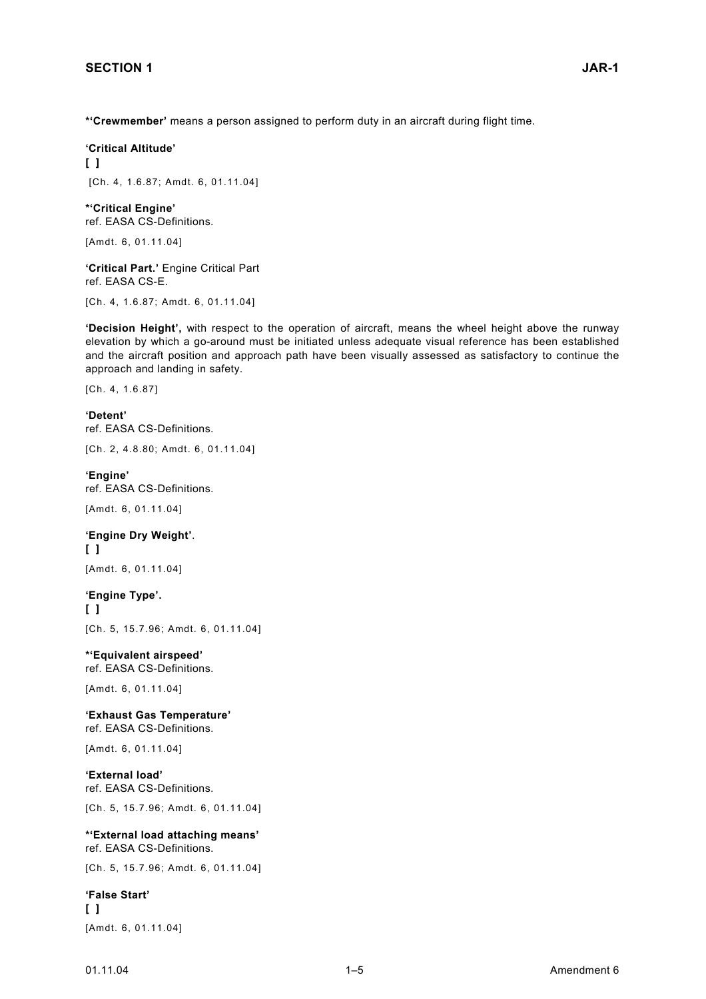**\*'Crewmember'** means a person assigned to perform duty in an aircraft during flight time.

**'Critical Altitude' [ ]** 

[Ch. 4, 1.6.87; Amdt. 6, 01.11.04]

**\*'Critical Engine'**  ref. EASA CS-Definitions.

[Amdt. 6, 01.11.04]

**'Critical Part.'** Engine Critical Part ref. EASA CS-E.

[Ch. 4, 1.6.87; Amdt. 6, 01.11.04]

**'Decision Height',** with respect to the operation of aircraft, means the wheel height above the runway elevation by which a go-around must be initiated unless adequate visual reference has been established and the aircraft position and approach path have been visually assessed as satisfactory to continue the approach and landing in safety.

[Ch. 4, 1.6.87]

**'Detent'**  ref. EASA CS-Definitions.

[Ch. 2, 4.8.80; Amdt. 6, 01.11.04]

**'Engine'**  ref. EASA CS-Definitions.

[Amdt. 6, 01.11.04]

**'Engine Dry Weight'**. **[ ]**  [Amdt. 6, 01.11.04]

**'Engine Type'. [ ]**  [Ch. 5, 15.7.96; Amdt. 6, 01.11.04]

**\*'Equivalent airspeed'** ref. EASA CS-Definitions.

[Amdt. 6, 01.11.04]

**'Exhaust Gas Temperature'** ref. EASA CS-Definitions.

[Amdt. 6, 01.11.04]

**'External load'** ref. EASA CS-Definitions.

[Ch. 5, 15.7.96; Amdt. 6, 01.11.04]

**\*'External load attaching means'**  ref. EASA CS-Definitions.

[Ch. 5, 15.7.96; Amdt. 6, 01.11.04]

**'False Start' [ ]** 

[Amdt. 6, 01.11.04]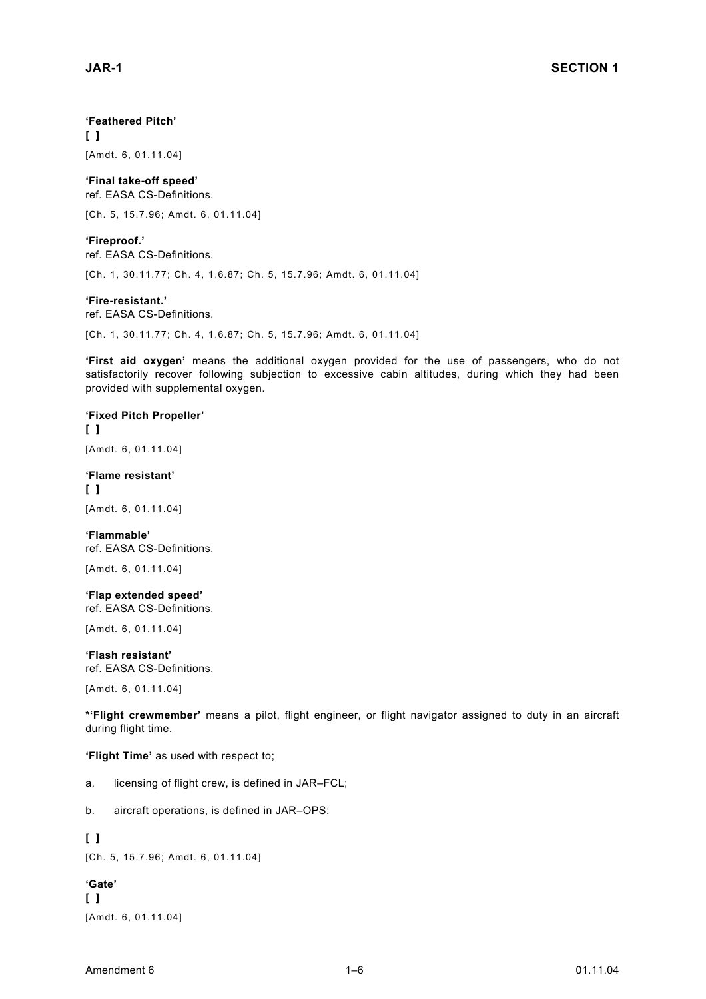#### **'Feathered Pitch'**

**[ ]**  [Amdt. 6, 01.11.04]

**'Final take-off speed'**  ref. EASA CS-Definitions.

[Ch. 5, 15.7.96; Amdt. 6, 01.11.04]

**'Fireproof.'**  ref. EASA CS-Definitions.

[Ch. 1, 30.11.77; Ch. 4, 1.6.87; Ch. 5, 15.7.96; Amdt. 6, 01.11.04]

#### **'Fire-resistant.'**

ref. EASA CS-Definitions.

[Ch. 1, 30.11.77; Ch. 4, 1.6.87; Ch. 5, 15.7.96; Amdt. 6, 01.11.04]

**'First aid oxygen'** means the additional oxygen provided for the use of passengers, who do not satisfactorily recover following subjection to excessive cabin altitudes, during which they had been provided with supplemental oxygen.

#### **'Fixed Pitch Propeller'**

**[ ]**  [Amdt. 6, 01.11.04]

#### **'Flame resistant'**

**[ ]**  [Amdt. 6, 01.11.04]

**'Flammable'**  ref. EASA CS-Definitions.

[Amdt. 6, 01.11.04]

#### **'Flap extended speed'** ref. EASA CS-Definitions.

[Amdt. 6, 01.11.04]

**'Flash resistant'**  ref. EASA CS-Definitions.

[Amdt. 6, 01.11.04]

**\*'Flight crewmember'** means a pilot, flight engineer, or flight navigator assigned to duty in an aircraft during flight time.

**'Flight Time'** as used with respect to;

- a. licensing of flight crew, is defined in JAR–FCL;
- b. aircraft operations, is defined in JAR–OPS;

#### **[ ]**

[Ch. 5, 15.7.96; Amdt. 6, 01.11.04]

#### **'Gate'**

**[ ]**  [Amdt. 6, 01.11.04]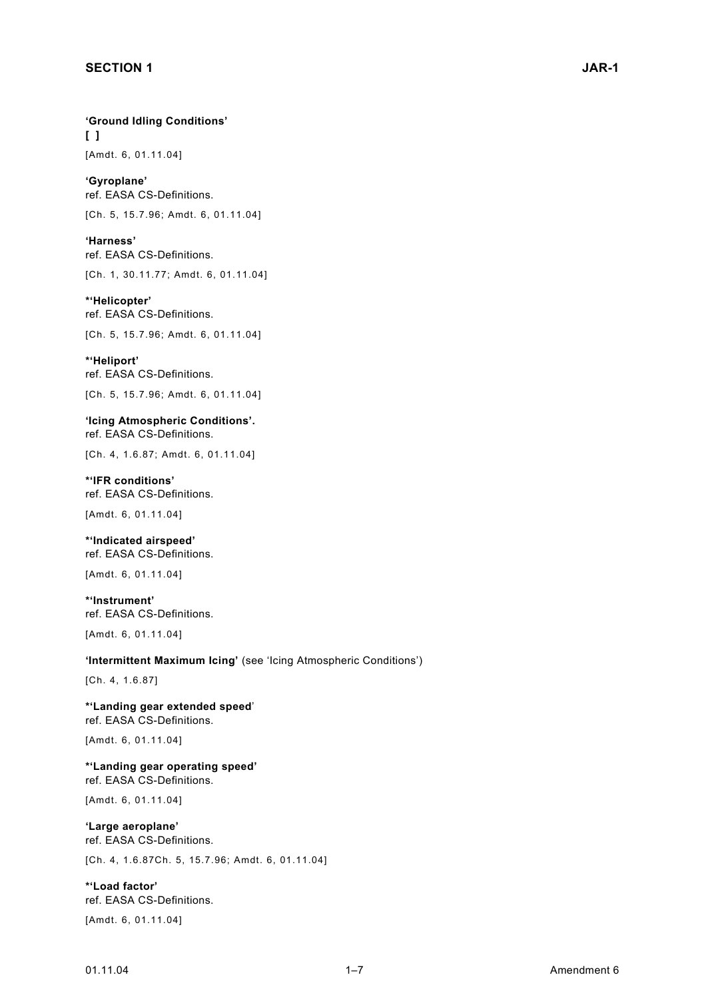**'Ground Idling Conditions' [ ]** 

[Amdt. 6, 01.11.04]

**'Gyroplane'**  ref. EASA CS-Definitions.

[Ch. 5, 15.7.96; Amdt. 6, 01.11.04]

**'Harness'**  ref. EASA CS-Definitions.

[Ch. 1, 30.11.77; Amdt. 6, 01.11.04]

**\*'Helicopter'**  ref. EASA CS-Definitions.

[Ch. 5, 15.7.96; Amdt. 6, 01.11.04]

**\*'Heliport'**  ref. EASA CS-Definitions.

[Ch. 5, 15.7.96; Amdt. 6, 01.11.04]

**'Icing Atmospheric Conditions'.** ref. EASA CS-Definitions.

[Ch. 4, 1.6.87; Amdt. 6, 01.11.04]

**\*'IFR conditions'**  ref. EASA CS-Definitions.

[Amdt. 6, 01.11.04]

**\*'Indicated airspeed'** ref. EASA CS-Definitions.

[Amdt. 6, 01.11.04]

**\*'Instrument'**  ref. EASA CS-Definitions.

[Amdt. 6, 01.11.04]

#### **'Intermittent Maximum Icing'** (see 'Icing Atmospheric Conditions')

[Ch. 4, 1.6.87]

**\*'Landing gear extended speed**' ref. EASA CS-Definitions.

[Amdt. 6, 01.11.04]

**\*'Landing gear operating speed'** ref. EASA CS-Definitions.

[Amdt. 6, 01.11.04]

#### **'Large aeroplane'** ref. EASA CS-Definitions.

[Ch. 4, 1.6.87Ch. 5, 15.7.96; Amdt. 6, 01.11.04]

**\*'Load factor'** ref. EASA CS-Definitions.

[Amdt. 6, 01.11.04]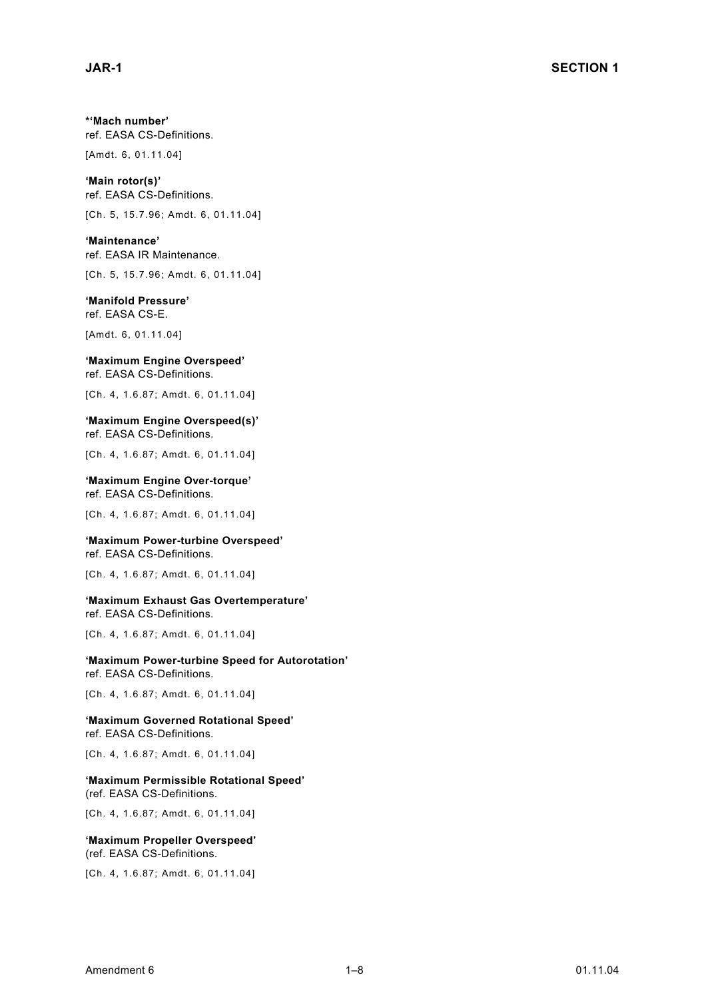**\*'Mach number'** ref. EASA CS-Definitions.

[Amdt. 6, 01.11.04]

**'Main rotor(s)'** ref. EASA CS-Definitions.

[Ch. 5, 15.7.96; Amdt. 6, 01.11.04]

**'Maintenance'**  ref. EASA IR Maintenance.

[Ch. 5, 15.7.96; Amdt. 6, 01.11.04]

**'Manifold Pressure'** ref. EASA CS-E.

[Amdt. 6, 01.11.04]

#### **'Maximum Engine Overspeed'**

ref. EASA CS-Definitions.

[Ch. 4, 1.6.87; Amdt. 6, 01.11.04]

**'Maximum Engine Overspeed(s)'** ref. EASA CS-Definitions.

[Ch. 4, 1.6.87; Amdt. 6, 01.11.04]

**'Maximum Engine Over-torque'** ref. EASA CS-Definitions.

[Ch. 4, 1.6.87; Amdt. 6, 01.11.04]

#### **'Maximum Power-turbine Overspeed'**

ref. EASA CS-Definitions.

[Ch. 4, 1.6.87; Amdt. 6, 01.11.04]

**'Maximum Exhaust Gas Overtemperature'**  ref. EASA CS-Definitions.

[Ch. 4, 1.6.87; Amdt. 6, 01.11.04]

**'Maximum Power-turbine Speed for Autorotation'**  ref. EASA CS-Definitions.

[Ch. 4, 1.6.87; Amdt. 6, 01.11.04]

**'Maximum Governed Rotational Speed'**  ref. EASA CS-Definitions.

[Ch. 4, 1.6.87; Amdt. 6, 01.11.04]

**'Maximum Permissible Rotational Speed'** (ref. EASA CS-Definitions.

[Ch. 4, 1.6.87; Amdt. 6, 01.11.04]

#### **'Maximum Propeller Overspeed'**  (ref. EASA CS-Definitions.

[Ch. 4, 1.6.87; Amdt. 6, 01.11.04]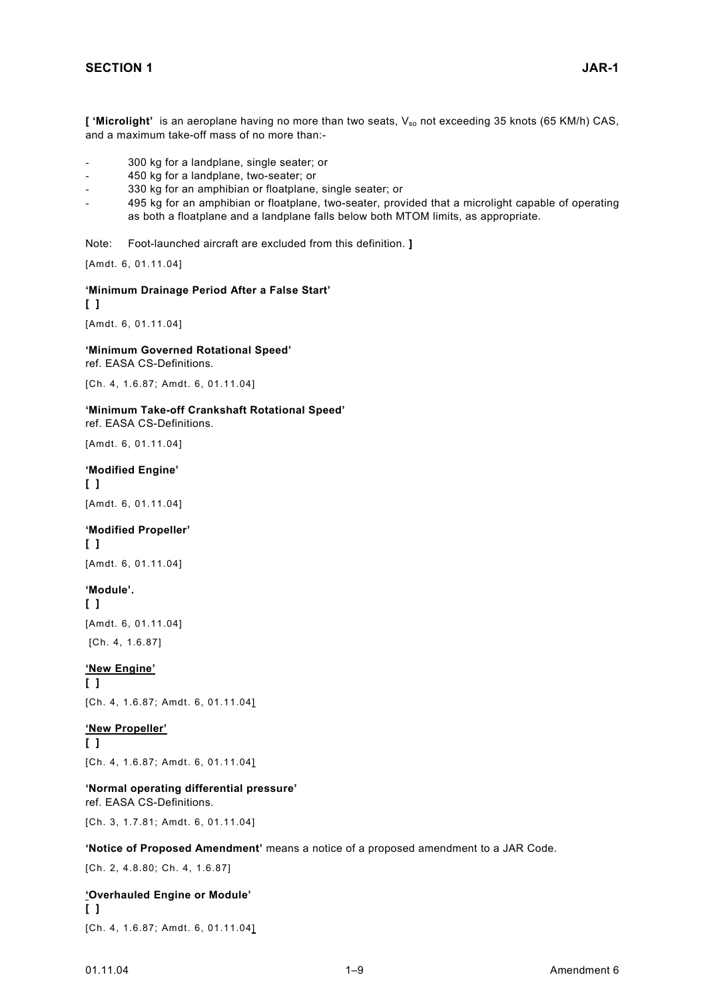['Microlight' is an aeroplane having no more than two seats, V<sub>so</sub> not exceeding 35 knots (65 KM/h) CAS, and a maximum take-off mass of no more than:-

- 300 kg for a landplane, single seater; or
- 450 kg for a landplane, two-seater; or
- 330 kg for an amphibian or floatplane, single seater; or
- 495 kg for an amphibian or floatplane, two-seater, provided that a microlight capable of operating as both a floatplane and a landplane falls below both MTOM limits, as appropriate.

Note: Foot-launched aircraft are excluded from this definition. **]**

[Amdt. 6, 01.11.04]

**'Minimum Drainage Period After a False Start' [ ]**  [Amdt. 6, 01.11.04]

**'Minimum Governed Rotational Speed'**  ref. EASA CS-Definitions.

[Ch. 4, 1.6.87; Amdt. 6, 01.11.04]

#### **'Minimum Take-off Crankshaft Rotational Speed'**

ref. EASA CS-Definitions.

[Amdt. 6, 01.11.04]

#### **'Modified Engine'**

**[ ]**  [Amdt. 6, 01.11.04]

#### **'Modified Propeller' [ ]**

[Amdt. 6, 01.11.04]

#### **'Module'.**

**[ ]**  [Amdt. 6, 01.11.04] [Ch. 4, 1.6.87]

#### **'New Engine'**

**[ ]**  [Ch. 4, 1.6.87; Amdt. 6, 01.11.04]

#### **'New Propeller'**

**[ ]**  [Ch. 4, 1.6.87; Amdt. 6, 01.11.04]

#### **'Normal operating differential pressure'**

ref. EASA CS-Definitions.

[Ch. 3, 1.7.81; Amdt. 6, 01.11.04]

#### **'Notice of Proposed Amendment'** means a notice of a proposed amendment to a JAR Code.

[Ch. 2, 4.8.80; Ch. 4, 1.6.87]

#### **'Overhauled Engine or Module' [ ]**

[Ch. 4, 1.6.87; Amdt. 6, 01.11.04]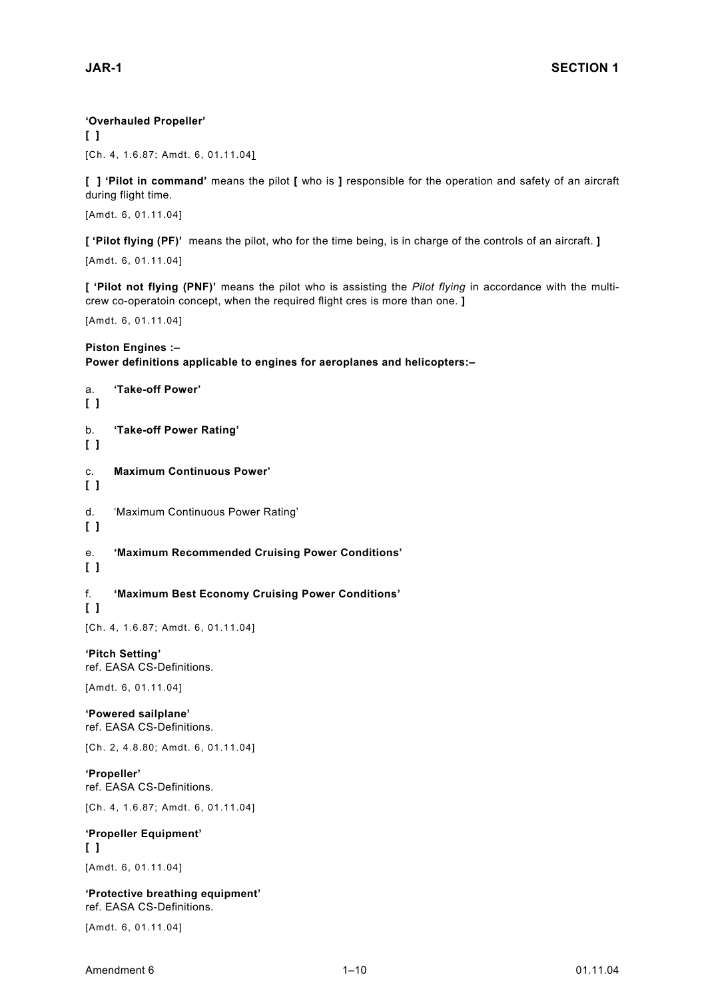#### **'Overhauled Propeller'**

**[ ]**  [Ch. 4, 1.6.87; Amdt. 6, 01.11.04]

**[ ] 'Pilot in command'** means the pilot **[** who is **]** responsible for the operation and safety of an aircraft during flight time.

[Amdt. 6, 01.11.04]

**[ 'Pilot flying (PF)'** means the pilot, who for the time being, is in charge of the controls of an aircraft. **]**

[Amdt. 6, 01.11.04]

**[ 'Pilot not flying (PNF)'** means the pilot who is assisting the *Pilot flying* in accordance with the multicrew co-operatoin concept, when the required flight cres is more than one. **]**

[Amdt. 6, 01.11.04]

#### **Piston Engines :–**

#### **Power definitions applicable to engines for aeroplanes and helicopters:–**

a. **'Take-off Power' [ ]**  b. **'Take-off Power Rating' [ ]**  c. **Maximum Continuous Power' [ ]**  d. 'Maximum Continuous Power Rating' **[ ]**  e. **'Maximum Recommended Cruising Power Conditions' [ ]**  f. **'Maximum Best Economy Cruising Power Conditions' [ ]**  [Ch. 4, 1.6.87; Amdt. 6, 01.11.04] **'Pitch Setting'**  ref. EASA CS-Definitions. [Amdt. 6, 01.11.04] **'Powered sailplane'**  ref. EASA CS-Definitions. [Ch. 2, 4.8.80; Amdt. 6, 01.11.04] **'Propeller'**  ref. EASA CS-Definitions. [Ch. 4, 1.6.87; Amdt. 6, 01.11.04] **'Propeller Equipment' [ ]**  [Amdt. 6, 01.11.04] **'Protective breathing equipment'** ref. EASA CS-Definitions. [Amdt. 6, 01.11.04]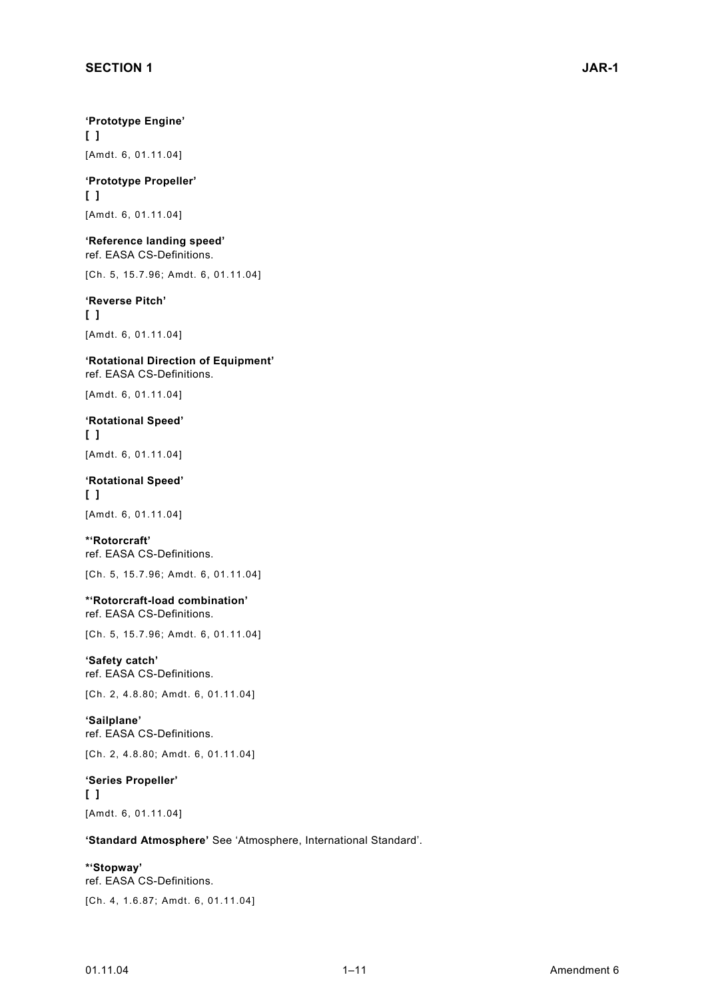**'Prototype Engine' [ ]**  [Amdt. 6, 01.11.04]

**'Prototype Propeller' [ ]**  [Amdt. 6, 01.11.04]

**'Reference landing speed'** ref. EASA CS-Definitions.

[Ch. 5, 15.7.96; Amdt. 6, 01.11.04]

#### **'Reverse Pitch' [ ]**  [Amdt. 6, 01.11.04]

**'Rotational Direction of Equipment'** ref. EASA CS-Definitions.

[Amdt. 6, 01.11.04]

**'Rotational Speed' [ ]**  [Amdt. 6, 01.11.04]

**'Rotational Speed' [ ]**  [Amdt. 6, 01.11.04]

**\*'Rotorcraft'**  ref. EASA CS-Definitions. [Ch. 5, 15.7.96; Amdt. 6, 01.11.04]

**\*'Rotorcraft-load combination'** ref. EASA CS-Definitions.

[Ch. 5, 15.7.96; Amdt. 6, 01.11.04]

**'Safety catch'**  ref. EASA CS-Definitions.

[Ch. 2, 4.8.80; Amdt. 6, 01.11.04]

**'Sailplane'**  ref. EASA CS-Definitions.

[Ch. 2, 4.8.80; Amdt. 6, 01.11.04]

**'Series Propeller' [ ]**  [Amdt. 6, 01.11.04]

**'Standard Atmosphere'** See 'Atmosphere, International Standard'.

**\*'Stopway'**  ref. EASA CS-Definitions. [Ch. 4, 1.6.87; Amdt. 6, 01.11.04]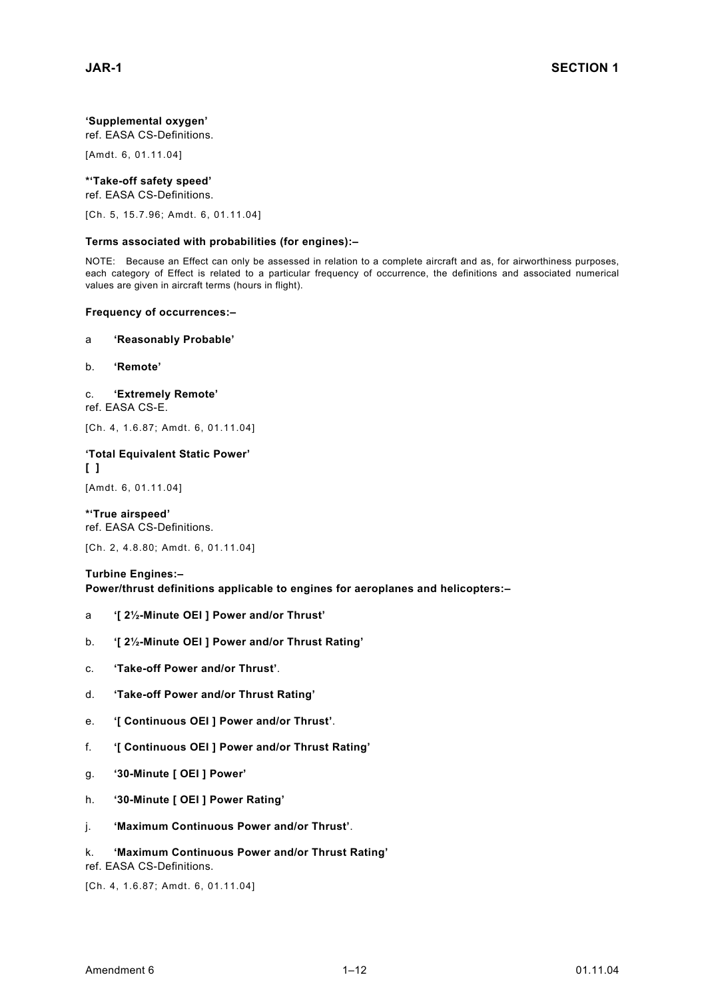#### **'Supplemental oxygen'**

ref. EASA CS-Definitions.

[Amdt. 6, 01.11.04]

#### **\*'Take-off safety speed'**

ref. EASA CS-Definitions.

[Ch. 5, 15.7.96; Amdt. 6, 01.11.04]

#### **Terms associated with probabilities (for engines):–**

NOTE: Because an Effect can only be assessed in relation to a complete aircraft and as, for airworthiness purposes, each category of Effect is related to a particular frequency of occurrence, the definitions and associated numerical values are given in aircraft terms (hours in flight).

#### **Frequency of occurrences:–**

#### a **'Reasonably Probable'**

- b. **'Remote'**
- c. **'Extremely Remote'**

ref. EASA CS-E.

[Ch. 4, 1.6.87; Amdt. 6, 01.11.04]

#### **'Total Equivalent Static Power' [ ]**

[Amdt. 6, 01.11.04]

#### **\*'True airspeed'** ref. EASA CS-Definitions.

[Ch. 2, 4.8.80; Amdt. 6, 01.11.04]

#### **Turbine Engines:–**

**Power/thrust definitions applicable to engines for aeroplanes and helicopters:–** 

- a **'[ 2½-Minute OEI ] Power and/or Thrust'**
- b. **'[ 2½-Minute OEI ] Power and/or Thrust Rating'**
- c. **'Take-off Power and/or Thrust'**.
- d. **'Take-off Power and/or Thrust Rating'**
- e. **'[ Continuous OEI ] Power and/or Thrust'**.
- f. **'[ Continuous OEI ] Power and/or Thrust Rating'**
- g. **'30-Minute [ OEI ] Power'**
- h. **'30-Minute [ OEI ] Power Rating'**
- j. **'Maximum Continuous Power and/or Thrust'**.

#### k. **'Maximum Continuous Power and/or Thrust Rating'**

#### ref. EASA CS-Definitions.

[Ch. 4, 1.6.87; Amdt. 6, 01.11.04]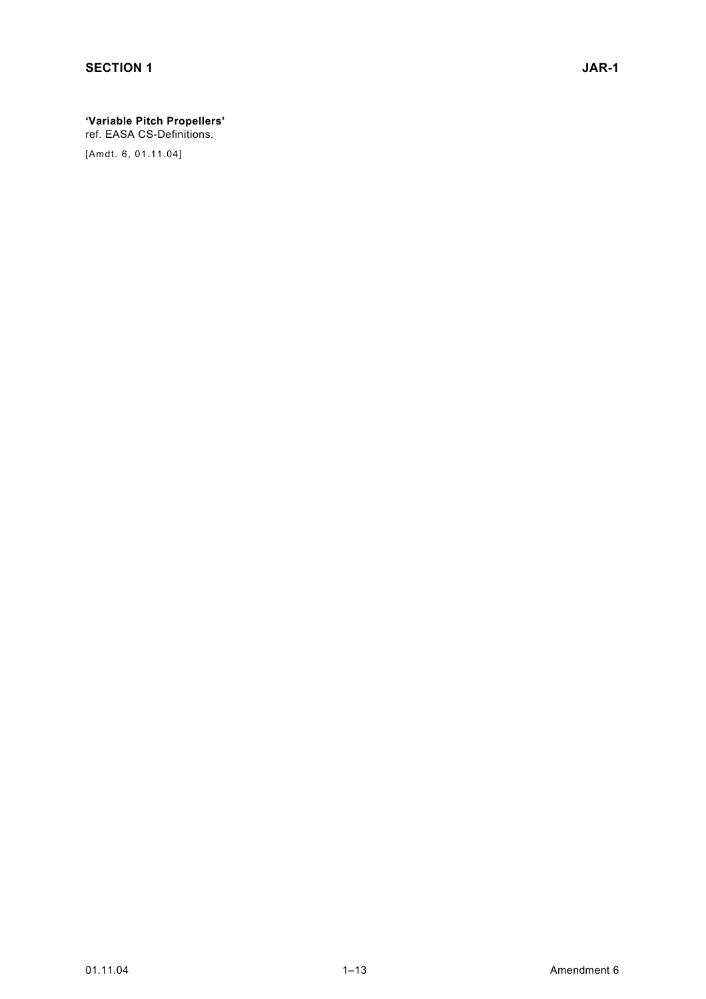### **'Variable Pitch Propellers'**

ref. EASA CS-Definitions.

[Amdt. 6, 01.11.04]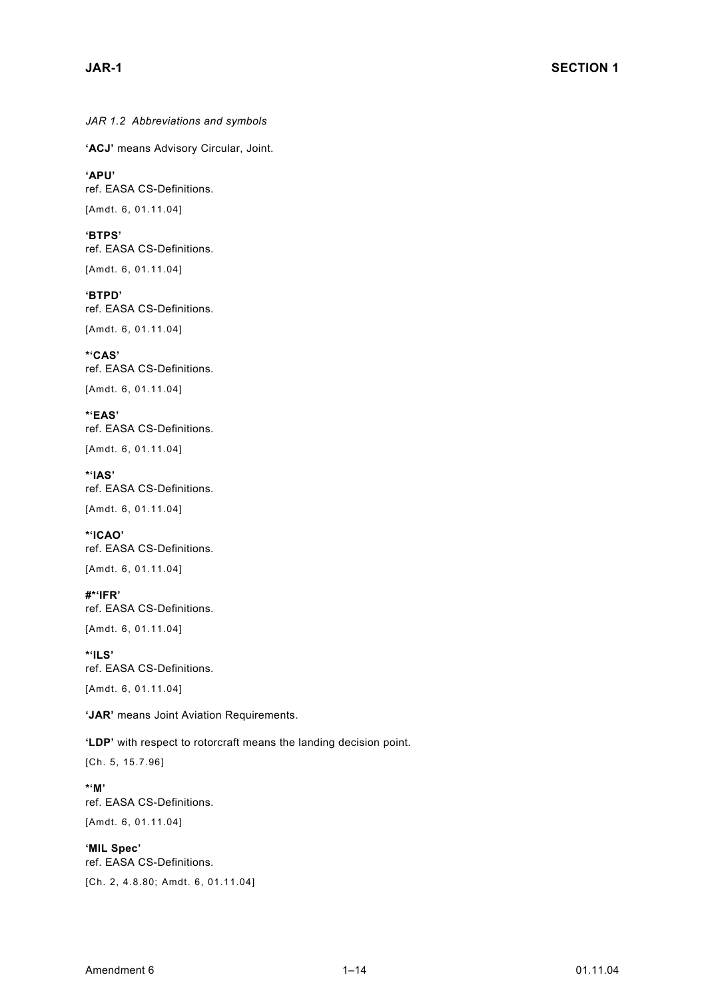*JAR 1.2 Abbreviations and symbols* 

**'ACJ'** means Advisory Circular, Joint.

**'APU'**  ref. EASA CS-Definitions. [Amdt. 6, 01.11.04]

**'BTPS'**  ref. EASA CS-Definitions. [Amdt. 6, 01.11.04]

**'BTPD'**  ref. EASA CS-Definitions. [Amdt. 6, 01.11.04]

**\*'CAS'**  ref. EASA CS-Definitions. [Amdt. 6, 01.11.04]

**\*'EAS'**  ref. EASA CS-Definitions. [Amdt. 6, 01.11.04]

**\*'IAS'**  ref. EASA CS-Definitions. [Amdt. 6, 01.11.04]

**\*'ICAO'**  ref. EASA CS-Definitions. [Amdt. 6, 01.11.04]

**#\*'IFR'**  ref. EASA CS-Definitions. [Amdt. 6, 01.11.04]

**\*'ILS'**  ref. EASA CS-Definitions. [Amdt. 6, 01.11.04]

**'JAR'** means Joint Aviation Requirements.

**'LDP'** with respect to rotorcraft means the landing decision point.

[Ch. 5, 15.7.96]

**\*'M'**  ref. EASA CS-Definitions. [Amdt. 6, 01.11.04]

**'MIL Spec'** ref. EASA CS-Definitions. [Ch. 2, 4.8.80; Amdt. 6, 01.11.04]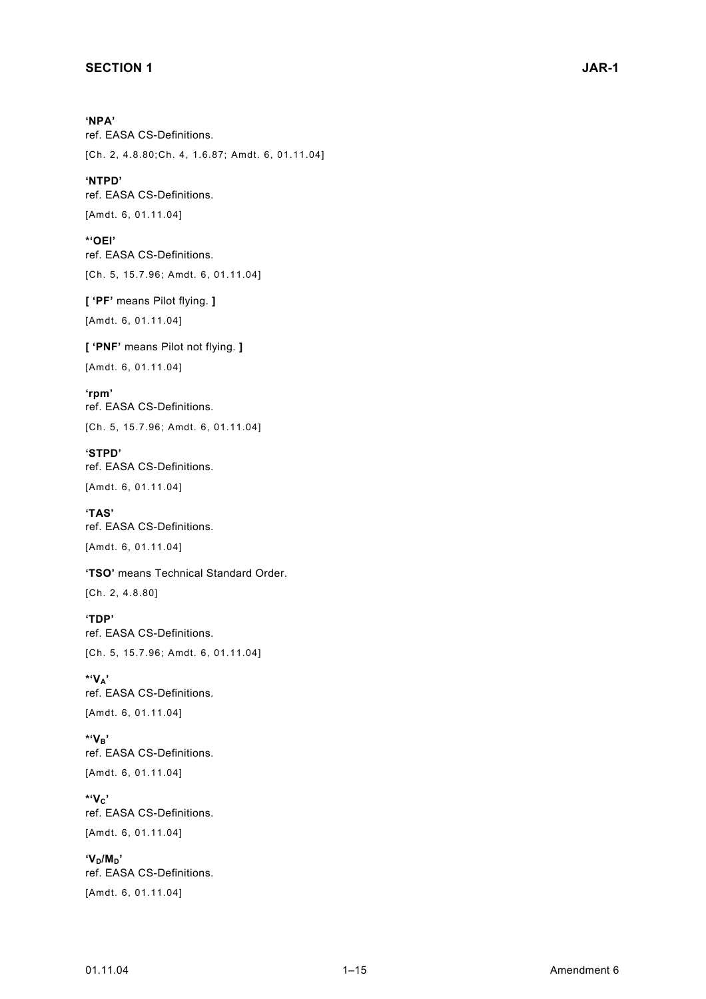#### **SECTION 1** JAR-1

**'NPA'** ref. EASA CS-Definitions. [Ch. 2, 4.8.80;Ch. 4, 1.6.87; Amdt. 6, 01.11.04]

**'NTPD'**  ref. EASA CS-Definitions. [Amdt. 6, 01.11.04]

**\*'OEI'**  ref. EASA CS-Definitions. [Ch. 5, 15.7.96; Amdt. 6, 01.11.04]

**[ 'PF'** means Pilot flying. **]**  [Amdt. 6, 01.11.04]

**[ 'PNF'** means Pilot not flying. **]**  [Amdt. 6, 01.11.04]

**'rpm'**  ref. EASA CS-Definitions. [Ch. 5, 15.7.96; Amdt. 6, 01.11.04]

**'STPD'**  ref. EASA CS-Definitions. [Amdt. 6, 01.11.04]

**'TAS'**  ref. EASA CS-Definitions.

[Amdt. 6, 01.11.04]

**'TSO'** means Technical Standard Order.

[Ch. 2, 4.8.80]

**'TDP'**  ref. EASA CS-Definitions. [Ch. 5, 15.7.96; Amdt. 6, 01.11.04]

**\*'VA'**  ref. EASA CS-Definitions. [Amdt. 6, 01.11.04]

**\*'VB'**  ref. EASA CS-Definitions. [Amdt. 6, 01.11.04]

**\*'VC'**  ref. EASA CS-Definitions. [Amdt. 6, 01.11.04]

<sup>'</sup>V<sub>D</sub>/M<sub>D</sub>' ref. EASA CS-Definitions. [Amdt. 6, 01.11.04]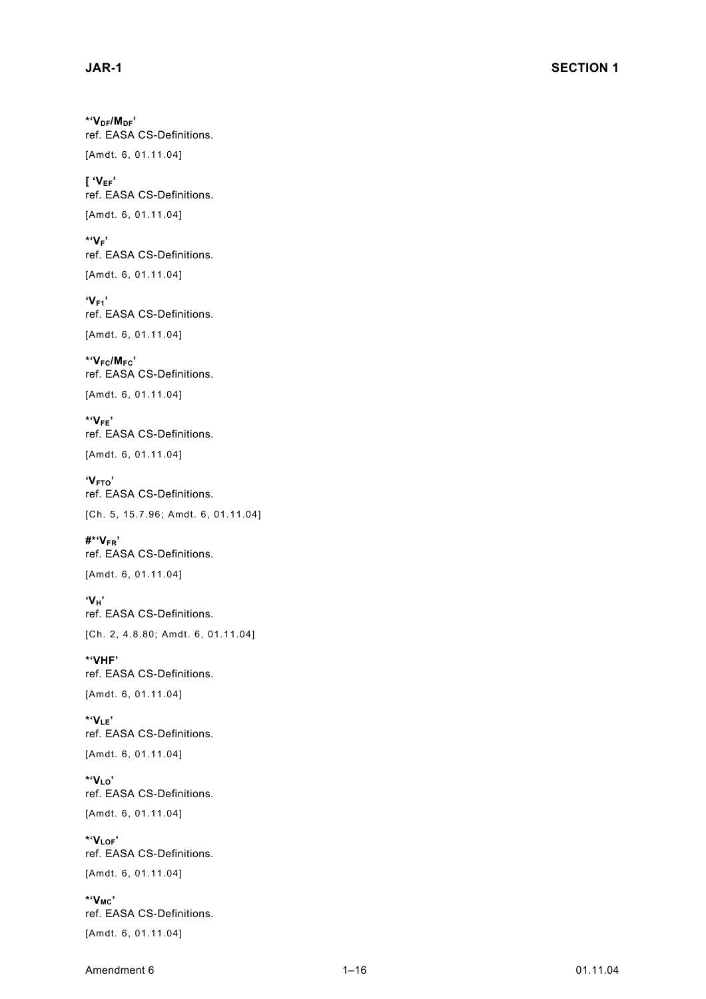**\*'VDF/MDF'**  ref. EASA CS-Definitions.

[Amdt. 6, 01.11.04]

**[ 'VEF'** ref. EASA CS-Definitions. [Amdt. 6, 01.11.04]

**\*'VF'**  ref. EASA CS-Definitions. [Amdt. 6, 01.11.04]

**'VF1'**  ref. EASA CS-Definitions. [Amdt. 6, 01.11.04]

**\*'VFC/MFC'**  ref. EASA CS-Definitions.

[Amdt. 6, 01.11.04]

**\*'VFE'**  ref. EASA CS-Definitions. [Amdt. 6, 01.11.04]

**'VFTO'**  ref. EASA CS-Definitions. [Ch. 5, 15.7.96; Amdt. 6, 01.11.04]

**#\*'VFR'**  ref. EASA CS-Definitions. [Amdt. 6, 01.11.04]

**'VH'**  ref. EASA CS-Definitions. [Ch. 2, 4.8.80; Amdt. 6, 01.11.04]

**\*'VHF'**  ref. EASA CS-Definitions. [Amdt. 6, 01.11.04]

 $*_{V_{IF}}$ ref. EASA CS-Definitions.

[Amdt. 6, 01.11.04]

**\*'VLO'**  ref. EASA CS-Definitions. [Amdt. 6, 01.11.04]

**\*'VLOF'**  ref. EASA CS-Definitions. [Amdt. 6, 01.11.04]

**\*'VMC'**  ref. EASA CS-Definitions. [Amdt. 6, 01.11.04]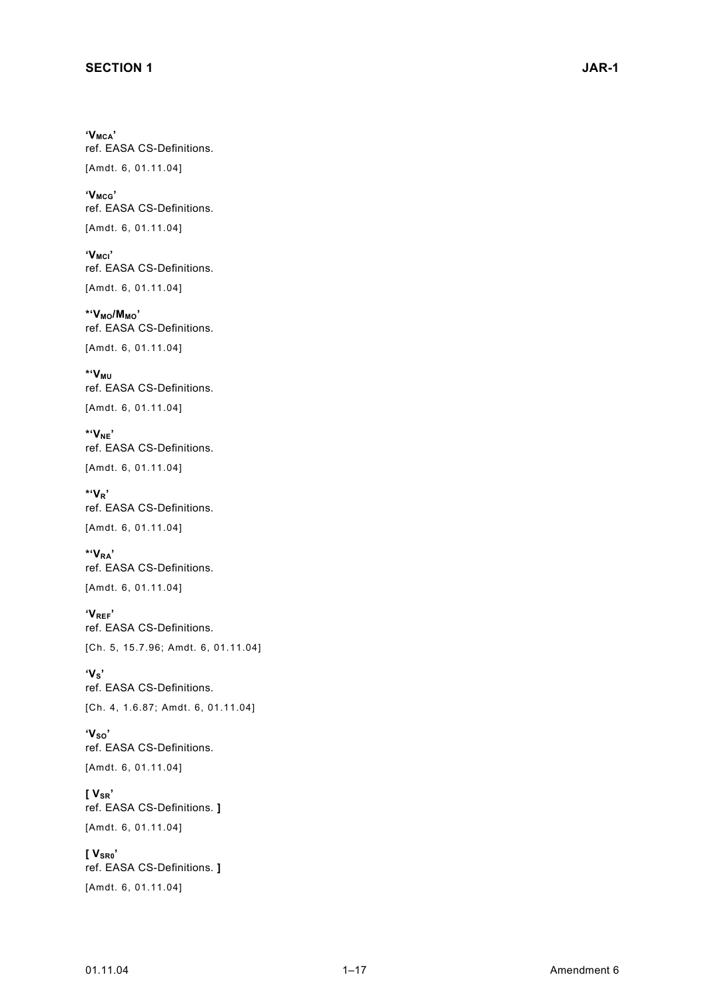'V<sub>MCA</sub>' ref. EASA CS-Definitions. [Amdt. 6, 01.11.04]

**'VMCG'**  ref. EASA CS-Definitions.

[Amdt. 6, 01.11.04]

'V<sub>MCI</sub>' ref. EASA CS-Definitions.

[Amdt. 6, 01.11.04] **\*'VMO/MMO'**

ref. EASA CS-Definitions. [Amdt. 6, 01.11.04]

**\*'VMU**  ref. EASA CS-Definitions. [Amdt. 6, 01.11.04]

**\*'VNE'**  ref. EASA CS-Definitions.

[Amdt. 6, 01.11.04]

**\*'VR'**  ref. EASA CS-Definitions. [Amdt. 6, 01.11.04]

**\*'VRA'**  ref. EASA CS-Definitions. [Amdt. 6, 01.11.04]

**'VREF'**  ref. EASA CS-Definitions. [Ch. 5, 15.7.96; Amdt. 6, 01.11.04]

 $'V_s'$ ref. EASA CS-Definitions. [Ch. 4, 1.6.87; Amdt. 6, 01.11.04]

'V<sub>so</sub>' ref. EASA CS-Definitions. [Amdt. 6, 01.11.04]

**[ VSR'** ref. EASA CS-Definitions. **]**  [Amdt. 6, 01.11.04]

**[ VSR0'** ref. EASA CS-Definitions. **]**  [Amdt. 6, 01.11.04]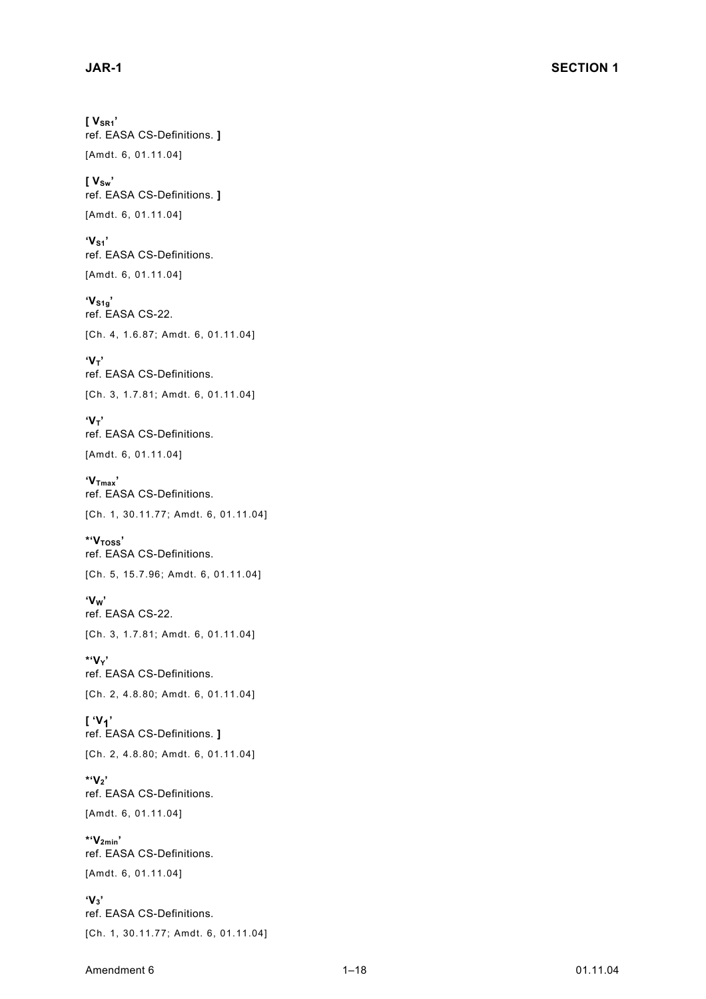**[ VSR1'** ref. EASA CS-Definitions. **]**  [Amdt. 6, 01.11.04]

**[ VSw'** ref. EASA CS-Definitions. **]**  [Amdt. 6, 01.11.04]

 $'V_{S1}'$ ref. EASA CS-Definitions. [Amdt. 6, 01.11.04]

**'VS1g'**  ref. EASA CS-22. [Ch. 4, 1.6.87; Amdt. 6, 01.11.04]

 $V_T$ ref. EASA CS-Definitions. [Ch. 3, 1.7.81; Amdt. 6, 01.11.04]

 $'V_T'$ ref. EASA CS-Definitions. [Amdt. 6, 01.11.04]

'V<sub>Tmax</sub>' ref. EASA CS-Definitions. [Ch. 1, 30.11.77; Amdt. 6, 01.11.04]

**\*'VTOSS'**  ref. EASA CS-Definitions. [Ch. 5, 15.7.96; Amdt. 6, 01.11.04]

**'VW'**  ref. EASA CS-22. [Ch. 3, 1.7.81; Amdt. 6, 01.11.04]

**\*'VY'**  ref. EASA CS-Definitions. [Ch. 2, 4.8.80; Amdt. 6, 01.11.04]

**[ 'V1'**  ref. EASA CS-Definitions. **]** [Ch. 2, 4.8.80; Amdt. 6, 01.11.04]

**\*'V2'**  ref. EASA CS-Definitions. [Amdt. 6, 01.11.04]

**\*'V2min'**  ref. EASA CS-Definitions. [Amdt. 6, 01.11.04]

**'V3'**  ref. EASA CS-Definitions. [Ch. 1, 30.11.77; Amdt. 6, 01.11.04]